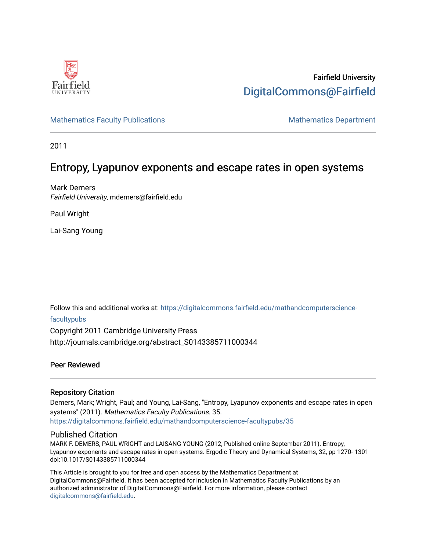

# Fairfield University [DigitalCommons@Fairfield](https://digitalcommons.fairfield.edu/)

# [Mathematics Faculty Publications](https://digitalcommons.fairfield.edu/mathandcomputerscience-facultypubs) Mathematics Department

2011

# Entropy, Lyapunov exponents and escape rates in open systems

Mark Demers Fairfield University, mdemers@fairfield.edu

Paul Wright

Lai-Sang Young

Follow this and additional works at: [https://digitalcommons.fairfield.edu/mathandcomputerscience](https://digitalcommons.fairfield.edu/mathandcomputerscience-facultypubs?utm_source=digitalcommons.fairfield.edu%2Fmathandcomputerscience-facultypubs%2F35&utm_medium=PDF&utm_campaign=PDFCoverPages)[facultypubs](https://digitalcommons.fairfield.edu/mathandcomputerscience-facultypubs?utm_source=digitalcommons.fairfield.edu%2Fmathandcomputerscience-facultypubs%2F35&utm_medium=PDF&utm_campaign=PDFCoverPages) 

Copyright 2011 Cambridge University Press http://journals.cambridge.org/abstract\_S0143385711000344

## Peer Reviewed

## Repository Citation

Demers, Mark; Wright, Paul; and Young, Lai-Sang, "Entropy, Lyapunov exponents and escape rates in open systems" (2011). Mathematics Faculty Publications. 35. [https://digitalcommons.fairfield.edu/mathandcomputerscience-facultypubs/35](https://digitalcommons.fairfield.edu/mathandcomputerscience-facultypubs/35?utm_source=digitalcommons.fairfield.edu%2Fmathandcomputerscience-facultypubs%2F35&utm_medium=PDF&utm_campaign=PDFCoverPages) 

## Published Citation

MARK F. DEMERS, PAUL WRIGHT and LAISANG YOUNG (2012, Published online September 2011). Entropy, Lyapunov exponents and escape rates in open systems. Ergodic Theory and Dynamical Systems, 32, pp 1270- 1301 doi:10.1017/S0143385711000344

This Article is brought to you for free and open access by the Mathematics Department at DigitalCommons@Fairfield. It has been accepted for inclusion in Mathematics Faculty Publications by an authorized administrator of DigitalCommons@Fairfield. For more information, please contact [digitalcommons@fairfield.edu](mailto:digitalcommons@fairfield.edu).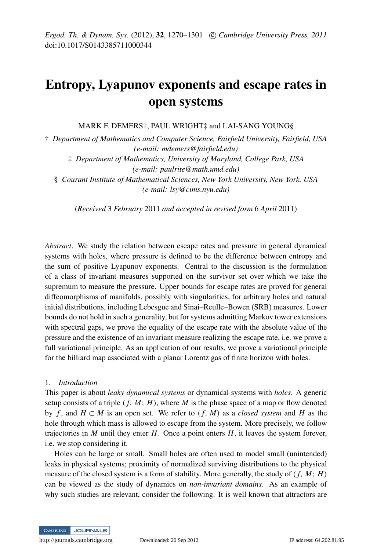# Entropy, Lyapunov exponents and escape rates in open systems

MARK F. DEMERS<sup>†</sup>, PAUL WRIGHT<sup>‡</sup> and LAI-SANG YOUNG§

† *Department of Mathematics and Computer Science, Fairfield University, Fairfield, USA (e-mail: mdemers@fairfield.edu)*

‡ *Department of Mathematics, University of Maryland, College Park, USA (e-mail: paulrite@math.umd.edu)*

§ *Courant Institute of Mathematical Sciences, New York University, New York, USA (e-mail: lsy@cims.nyu.edu)*

(*Received* 3 *February* 2011 *and accepted in revised form* 6 *April* 2011)

*Abstract*. We study the relation between escape rates and pressure in general dynamical systems with holes, where pressure is defined to be the difference between entropy and the sum of positive Lyapunov exponents. Central to the discussion is the formulation of a class of invariant measures supported on the survivor set over which we take the supremum to measure the pressure. Upper bounds for escape rates are proved for general diffeomorphisms of manifolds, possibly with singularities, for arbitrary holes and natural initial distributions, including Lebesgue and Sinai–Reulle–Bowen (SRB) measures. Lower bounds do not hold in such a generality, but for systems admitting Markov tower extensions with spectral gaps, we prove the equality of the escape rate with the absolute value of the pressure and the existence of an invariant measure realizing the escape rate, i.e. we prove a full variational principle. As an application of our results, we prove a variational principle for the billiard map associated with a planar Lorentz gas of finite horizon with holes.

### 1. *Introduction*

This paper is about *leaky dynamical systems* or dynamical systems with *holes*. A generic setup consists of a triple  $(f, M; H)$ , where M is the phase space of a map or flow denoted by *f*, and  $H \subset M$  is an open set. We refer to  $(f, M)$  as a *closed system* and *H* as the hole through which mass is allowed to escape from the system. More precisely, we follow trajectories in  $M$  until they enter  $H$ . Once a point enters  $H$ , it leaves the system forever, i.e. we stop considering it.

Holes can be large or small. Small holes are often used to model small (unintended) leaks in physical systems; proximity of normalized surviving distributions to the physical measure of the closed system is a form of stability. More generally, the study of  $(f, M; H)$ can be viewed as the study of dynamics on *non-invariant domains*. As an example of why such studies are relevant, consider the following. It is well known that attractors are



<http://journals.cambridge.org> Downloaded: 20 Sep 2012 IP address: 64.202.81.95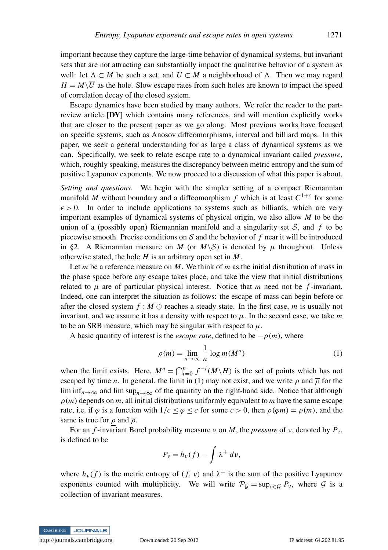important because they capture the large-time behavior of dynamical systems, but invariant sets that are not attracting can substantially impact the qualitative behavior of a system as well: let  $\Lambda \subset M$  be such a set, and  $U \subset M$  a neighborhood of  $\Lambda$ . Then we may regard  $H = M\sqrt{U}$  as the hole. Slow escape rates from such holes are known to impact the speed of correlation decay of the closed system.

Escape dynamics have been studied by many authors. We refer the reader to the partreview article [DY] which contains many references, and will mention explicitly works that are closer to the present paper as we go along. Most previous works have focused on specific systems, such as Anosov diffeomorphisms, interval and billiard maps. In this paper, we seek a general understanding for as large a class of dynamical systems as we can. Specifically, we seek to relate escape rate to a dynamical invariant called *pressure*, which, roughly speaking, measures the discrepancy between metric entropy and the sum of positive Lyapunov exponents. We now proceed to a discussion of what this paper is about.

*Setting and questions.* We begin with the simpler setting of a compact Riemannian manifold M without boundary and a diffeomorphism f which is at least  $C^{1+\epsilon}$  for some  $\epsilon > 0$ . In order to include applications to systems such as billiards, which are very important examples of dynamical systems of physical origin, we also allow *M* to be the union of a (possibly open) Riemannian manifold and a singularity set  $S$ , and  $f$  to be piecewise smooth. Precise conditions on  $S$  and the behavior of  $f$  near it will be introduced in §2. A Riemannian measure on *M* (or  $M\setminus S$ ) is denoted by  $\mu$  throughout. Unless otherwise stated, the hole *H* is an arbitrary open set in *M*.

Let *m* be a reference measure on *M*. We think of *m* as the initial distribution of mass in the phase space before any escape takes place, and take the view that initial distributions related to  $\mu$  are of particular physical interest. Notice that  $m$  need not be  $f$ -invariant. Indeed, one can interpret the situation as follows: the escape of mass can begin before or after the closed system  $f : M \circlearrowleft$  reaches a steady state. In the first case, *m* is usually not invariant, and we assume it has a density with respect to  $\mu$ . In the second case, we take  $m$ to be an SRB measure, which may be singular with respect to  $\mu$ .

A basic quantity of interest is the *escape rate*, defined to be  $-\rho(m)$ , where

$$
\rho(m) = \lim_{n \to \infty} \frac{1}{n} \log m(M^n)
$$
 (1)

when the limit exists. Here,  $M^n = \bigcap_{i=0}^n f^{-i}(M \setminus H)$  is the set of points which has not escaped by time *n*. In general, the limit in (1) may not exist, and we write  $\rho$  and  $\overline{\rho}$  for the lim inf<sub>n→∞</sub> and lim sup<sub>n→∞</sub> of the quantity on the right-hand side. Notice that although  $\rho(m)$  depends on *m*, all initial distributions uniformly equivalent to *m* have the same escape rate, i.e. if  $\varphi$  is a function with  $1/c \leq \varphi \leq c$  for some  $c > 0$ , then  $\rho(\varphi m) = \rho(m)$ , and the same is true for  $\rho$  and  $\overline{\rho}$ .

For an *f*-invariant Borel probability measure  $\nu$  on *M*, the *pressure* of  $\nu$ , denoted by  $P_{\nu}$ , is defined to be

$$
P_{\nu}=h_{\nu}(f)-\int \lambda^+ d\nu,
$$

where  $h_{\nu}(f)$  is the metric entropy of  $(f, \nu)$  and  $\lambda^{+}$  is the sum of the positive Lyapunov exponents counted with multiplicity. We will write  $P_G = \sup_{y \in G} P_y$ , where G is a collection of invariant measures.

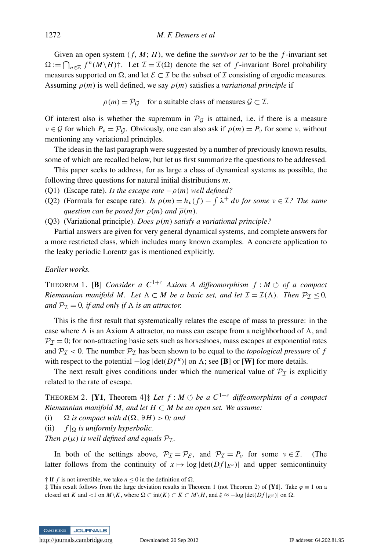Given an open system  $(f, M; H)$ , we define the *survivor set* to be the  $f$ -invariant set  $\Omega := \bigcap_{n \in \mathbb{Z}} f^n(M \setminus H)$ <sup>†</sup>. Let  $\mathcal{I} = \mathcal{I}(\Omega)$  denote the set of *f*-invariant Borel probability measures supported on  $\Omega$ , and let  $\mathcal{E} \subset \mathcal{I}$  be the subset of  $\mathcal I$  consisting of ergodic measures. Assuming  $\rho(m)$  is well defined, we say  $\rho(m)$  satisfies a *variational principle* if

 $\rho(m) = \mathcal{P}_\mathcal{G}$  for a suitable class of measures  $\mathcal{G} \subset \mathcal{I}$ .

Of interest also is whether the supremum in  $\mathcal{P}_G$  is attained, i.e. if there is a measure  $v \in \mathcal{G}$  for which  $P_v = \mathcal{P}_{\mathcal{G}}$ . Obviously, one can also ask if  $\rho(m) = P_v$  for some v, without mentioning any variational principles.

The ideas in the last paragraph were suggested by a number of previously known results, some of which are recalled below, but let us first summarize the questions to be addressed.

This paper seeks to address, for as large a class of dynamical systems as possible, the following three questions for natural initial distributions *m*.

- (Q1) (Escape rate). *Is the escape rate*  $-\rho(m)$  *well defined?*
- (Q2) (Formula for escape rate). *Is*  $\rho(m) = h_v(f) \int \lambda^+ dv$  *for some*  $v \in \mathcal{I}$ ? *The same question can be posed for*  $\rho(m)$  *and*  $\overline{\rho}(m)$ *.*
- (Q3) (Variational principle). *Does* ρ(*m*) *satisfy a variational principle?*

Partial answers are given for very general dynamical systems, and complete answers for a more restricted class, which includes many known examples. A concrete application to the leaky periodic Lorentz gas is mentioned explicitly.

### *Earlier works.*

**THEOREM 1.** [B] *Consider a C*<sup>1+ $\epsilon$ </sup> *Axiom A diffeomorphism f* : *M*  $\circ$  *of a compact Riemannian manifold M. Let*  $\Lambda \subset M$  *be a basic set, and let*  $\mathcal{I} = \mathcal{I}(\Lambda)$ *. Then*  $\mathcal{P}_{\mathcal{I}} \leq 0$ *, and*  $P_{\mathcal{I}} = 0$ *, if and only if*  $\Lambda$  *is an attractor.* 

This is the first result that systematically relates the escape of mass to pressure: in the case where  $\Lambda$  is an Axiom A attractor, no mass can escape from a neighborhood of  $\Lambda$ , and  $P_{\mathcal{I}} = 0$ ; for non-attracting basic sets such as horseshoes, mass escapes at exponential rates and  $P_{\mathcal{I}}$  < 0. The number  $P_{\mathcal{I}}$  has been shown to be equal to the *topological pressure* of *f* with respect to the potential  $-\log |\det(Df^u)|$  on  $\Lambda$ ; see [B] or [W] for more details.

The next result gives conditions under which the numerical value of  $P<sub>I</sub>$  is explicitly related to the rate of escape.

THEOREM 2. [Y1, Theorem 4] $\ddagger$  *Let*  $f : M \circlearrowleft$  *be a*  $C^{1+\epsilon}$  *diffeomorphism of a compact Riemannian manifold M, and let*  $H \subset M$  *be an open set. We assume:* 

- (i)  $\Omega$  *is compact with d*( $\Omega$ ,  $\partial H$ ) > 0*;* and
- (ii)  $f|_{\Omega}$  *is uniformly hyperbolic.*

*Then*  $\rho(\mu)$  *is well defined and equals*  $P_T$ .

In both of the settings above,  $P_{\mathcal{I}} = P_{\mathcal{E}}$ , and  $P_{\mathcal{I}} = P_{\nu}$  for some  $\nu \in \mathcal{I}$ . (The latter follows from the continuity of  $x \mapsto \log |\det(Df)|_{E^u}$  and upper semicontinuity

<sup>‡</sup> This result follows from the large deviation results in Theorem 1 (not Theorem 2) of [Y1]. Take  $\varphi \equiv 1$  on a closed set *K* and <1 on *M*\*K*, where  $\Omega \subset \text{int}(K) \subset K \subset M\backslash H$ , and  $\xi \approx -\log |\text{det}(Df)|_{E^u}$  on  $\Omega$ .



 $\dagger$  If *f* is not invertible, we take  $n \leq 0$  in the definition of  $\Omega$ .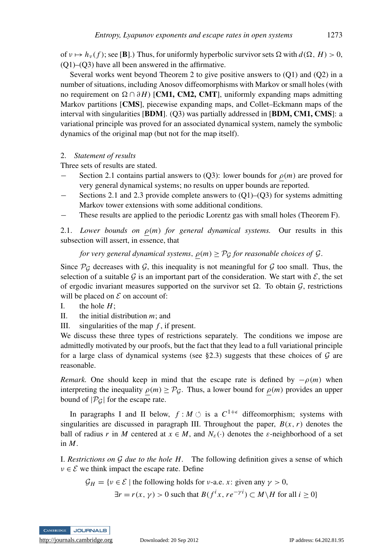of  $v \mapsto h_v(f)$ ; see [B].) Thus, for uniformly hyperbolic survivor sets  $\Omega$  with  $d(\Omega, H) > 0$ , (Q1)–(Q3) have all been answered in the affirmative.

Several works went beyond Theorem 2 to give positive answers to (Q1) and (Q2) in a number of situations, including Anosov diffeomorphisms with Markov or small holes (with no requirement on  $\Omega \cap \partial H$ ) [**CM1, CM2, CMT**], uniformly expanding maps admitting Markov partitions [CMS], piecewise expanding maps, and Collet–Eckmann maps of the interval with singularities [BDM]. (Q3) was partially addressed in [BDM, CM1, CMS]: a variational principle was proved for an associated dynamical system, namely the symbolic dynamics of the original map (but not for the map itself).

### 2. *Statement of results*

Three sets of results are stated.

- Section 2.1 contains partial answers to (Q3): lower bounds for  $\rho(m)$  are proved for very general dynamical systems; no results on upper bounds are reported.
- Sections 2.1 and 2.3 provide complete answers to  $(Q1)$ – $(Q3)$  for systems admitting Markov tower extensions with some additional conditions.
- These results are applied to the periodic Lorentz gas with small holes (Theorem F).

2.1. *Lower bounds on*  $\rho(m)$  *for general dynamical systems.* Our results in this subsection will assert, in essence, that

### *for very general dynamical systems,*  $\rho(m) \geq \mathcal{P}_G$  *for reasonable choices of G.*

Since  $P_g$  decreases with  $g$ , this inequality is not meaningful for  $g$  too small. Thus, the selection of a suitable  $G$  is an important part of the consideration. We start with  $\mathcal{E}$ , the set of ergodic invariant measures supported on the survivor set  $\Omega$ . To obtain  $\mathcal{G}$ , restrictions will be placed on  $\mathcal E$  on account of:

I. the hole 
$$
H
$$
;

- II. the initial distribution *m*; and
- III. singularities of the map *f* , if present.

We discuss these three types of restrictions separately. The conditions we impose are admittedly motivated by our proofs, but the fact that they lead to a full variational principle for a large class of dynamical systems (see §2.3) suggests that these choices of  $G$  are reasonable.

*Remark.* One should keep in mind that the escape rate is defined by  $-\rho(m)$  when interpreting the inequality  $\rho(m) \geq \mathcal{P}_G$ . Thus, a lower bound for  $\rho(m)$  provides an upper bound of  $|\mathcal{P}_G|$  for the escape rate.

In paragraphs I and II below,  $f : M \circlearrowleft$  is a  $C^{1+\epsilon}$  diffeomorphism; systems with singularities are discussed in paragraph III. Throughout the paper,  $B(x, r)$  denotes the ball of radius *r* in *M* centered at  $x \in M$ , and  $N_{\varepsilon}(\cdot)$  denotes the  $\varepsilon$ -neighborhood of a set in *M*.

I. *Restrictions on* G *due to the hole H.* The following definition gives a sense of which  $v \in \mathcal{E}$  we think impact the escape rate. Define

$$
\mathcal{G}_H = \{v \in \mathcal{E} \mid \text{the following holds for } v\text{-a.e. } x \colon \text{given any } \gamma > 0,
$$
\n
$$
\exists r = r(x, \gamma) > 0 \text{ such that } B(f^i x, r e^{-\gamma i}) \subset M \setminus H \text{ for all } i \ge 0 \}
$$

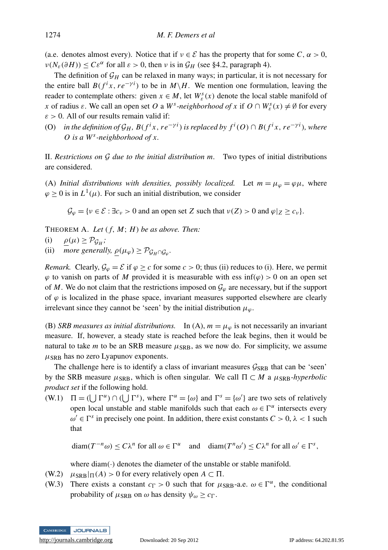(a.e. denotes almost every). Notice that if  $v \in \mathcal{E}$  has the property that for some  $C, \alpha > 0$ ,  $\nu(N_{\varepsilon}(\partial H)) \leq C \varepsilon^{\alpha}$  for all  $\varepsilon > 0$ , then  $\nu$  is in  $\mathcal{G}_H$  (see §4.2, paragraph 4).

The definition of  $\mathcal{G}_H$  can be relaxed in many ways; in particular, it is not necessary for the entire ball  $B(f^{i}x, re^{-\gamma i})$  to be in  $M\backslash H$ . We mention one formulation, leaving the reader to contemplate others: given  $x \in M$ , let  $W^s_{\varepsilon}(x)$  denote the local stable manifold of *x* of radius  $\varepsilon$ . We call an open set *O* a *W*<sup>*s*</sup>-neighborhood of *x* if  $O \cap W_{\varepsilon}^{s}(x) \neq \emptyset$  for every  $\varepsilon > 0$ . All of our results remain valid if:

(O) in the definition of  $\mathcal{G}_H$ ,  $B(f^ix, re^{-\gamma i})$  is replaced by  $f^i(O) \cap B(f^ix, re^{-\gamma i})$ , where *O is a W<sup>s</sup> -neighborhood of x.*

II. *Restrictions on* G *due to the initial distribution m.* Two types of initial distributions are considered.

(A) *Initial distributions with densities, possibly localized.* Let  $m = \mu_{\varphi} = \varphi \mu$ , where  $\varphi \geq 0$  is in  $L^1(\mu)$ . For such an initial distribution, we consider

 $\mathcal{G}_{\varphi} = \{v \in \mathcal{E} : \exists c_v > 0 \text{ and an open set } Z \text{ such that } v(Z) > 0 \text{ and } \varphi|_Z \geq c_v \}.$ 

THEOREM A. Let  $(f, M; H)$  be as above. Then:

- (i)  $\rho(\mu) \geq \mathcal{P}_{\mathcal{G}_H};$
- (ii) *more generally,*  $\underline{\rho}(\mu_{\varphi}) \geq \mathcal{P}_{\mathcal{G}_H \cap \mathcal{G}_{\varphi}}$ *.*

*Remark.* Clearly,  $\mathcal{G}_{\varphi} = \mathcal{E}$  if  $\varphi \ge c$  for some  $c > 0$ ; thus (ii) reduces to (i). Here, we permit  $\varphi$  to vanish on parts of *M* provided it is measurable with ess inf( $\varphi$ ) > 0 on an open set of *M*. We do not claim that the restrictions imposed on  $\mathcal{G}_{\varphi}$  are necessary, but if the support of  $\varphi$  is localized in the phase space, invariant measures supported elsewhere are clearly irrelevant since they cannot be 'seen' by the initial distribution  $\mu_{\varphi}$ .

(B) *SRB measures as initial distributions.* In (A),  $m = \mu_{\varphi}$  is not necessarily an invariant measure. If, however, a steady state is reached before the leak begins, then it would be natural to take  $m$  to be an SRB measure  $\mu_{\text{SRB}}$ , as we now do. For simplicity, we assume  $\mu$ <sub>SRB</sub> has no zero Lyapunov exponents.

The challenge here is to identify a class of invariant measures  $\mathcal{G}_{SRB}$  that can be 'seen' by the SRB measure  $\mu$ <sub>SRB</sub>, which is often singular. We call  $\Pi \subset M$  a  $\mu$ <sub>SRB</sub>-hyperbolic *product set* if the following hold.

(W.1)  $\Pi = (\bigcup \Gamma^u) \cap (\bigcup \Gamma^s)$ , where  $\Gamma^u = \{\omega\}$  and  $\Gamma^s = \{\omega'\}$  are two sets of relatively open local unstable and stable manifolds such that each  $\omega \in \Gamma^u$  intersects every  $\omega' \in \Gamma^s$  in precisely one point. In addition, there exist constants  $C > 0$ ,  $\lambda < 1$  such that

 $\text{diam}(T^{-n}\omega) \leq C\lambda^n$  for all  $\omega \in \Gamma^u$ and diam $(T^n \omega') \le C\lambda^n$  for all  $\omega' \in \Gamma^s$ ,

where  $diam(\cdot)$  denotes the diameter of the unstable or stable manifold.

- (W.2)  $\mu_{\text{SRB}}|_{\Pi}(A) > 0$  for every relatively open  $A \subset \Pi$ .
- (W.3) There exists a constant  $c_{\Gamma} > 0$  such that for  $\mu_{\text{SRB}}$ -a.e.  $\omega \in \Gamma^u$ , the conditional probability of  $\mu_{\text{SRB}}$  on  $\omega$  has density  $\psi_{\omega} \geq c_{\Gamma}$ .

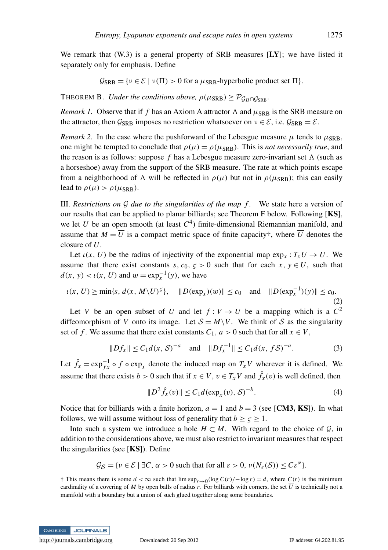We remark that  $(W.3)$  is a general property of SRB measures  $[LY]$ ; we have listed it separately only for emphasis. Define

 $\mathcal{G}_{\text{SRB}} = \{v \in \mathcal{E} \mid v(\Pi) > 0 \text{ for a } \mu_{\text{SRB}}\text{-hyperbolic product set } \Pi\}.$ 

THEOREM B. *Under the conditions above,*  $\rho(\mu_{SRB}) \geq \mathcal{P}_{G_H \cap G_{SRB}}$ .

*Remark 1.* Observe that if f has an Axiom A attractor  $\Lambda$  and  $\mu_{SRB}$  is the SRB measure on the attractor, then  $\mathcal{G}_{\text{SRB}}$  imposes no restriction whatsoever on  $v \in \mathcal{E}$ , i.e.  $\mathcal{G}_{\text{SRB}} = \mathcal{E}$ .

*Remark 2.* In the case where the pushforward of the Lebesgue measure  $\mu$  tends to  $\mu_{\rm SRB}$ , one might be tempted to conclude that  $\rho(\mu) = \rho(\mu_{SRB})$ . This is *not necessarily true*, and the reason is as follows: suppose  $f$  has a Lebesgue measure zero-invariant set  $\Lambda$  (such as a horseshoe) away from the support of the SRB measure. The rate at which points escape from a neighborhood of  $\Lambda$  will be reflected in  $\rho(\mu)$  but not in  $\rho(\mu_{SRB})$ ; this can easily lead to  $\rho(\mu) > \rho(\mu_{SRB})$ .

III. *Restrictions on* G *due to the singularities of the map f .* We state here a version of our results that can be applied to planar billiards; see Theorem F below. Following [KS], we let *U* be an open smooth (at least  $C<sup>4</sup>$ ) finite-dimensional Riemannian manifold, and assume that  $M = \overline{U}$  is a compact metric space of finite capacity; where  $\overline{U}$  denotes the closure of *U*.

Let  $\iota(x, U)$  be the radius of injectivity of the exponential map  $\exp_x : T_xU \to U$ . We assume that there exist constants *s*,  $c_0$ ,  $\zeta > 0$  such that for each *x*,  $y \in U$ , such that  $d(x, y) < \iota(x, U)$  and  $w = \exp_x^{-1}(y)$ , we have

$$
\iota(x, U) \ge \min\{s, \, d(x, \, M \setminus U)^s\}, \quad \|D(\exp_x)(w)\| \le c_0 \quad \text{and} \quad \|D(\exp_x^{-1})(y)\| \le c_0. \tag{2}
$$

Let *V* be an open subset of *U* and let  $f: V \to U$  be a mapping which is a  $C^2$ diffeomorphism of *V* onto its image. Let  $S = M\backslash V$ . We think of S as the singularity set of *f*. We assume that there exist constants  $C_1$ ,  $a > 0$  such that for all  $x \in V$ ,

$$
||Df_x|| \le C_1 d(x, S)^{-a} \quad \text{and} \quad ||Df_x^{-1}|| \le C_1 d(x, fS)^{-a}.
$$
 (3)

Let  $\hat{f}_x = \exp_{fx}^{-1} \circ f \circ \exp_x$  denote the induced map on  $T_x V$  wherever it is defined. We assume that there exists *b* > 0 such that if  $x \in V$ ,  $v \in T_xV$  and  $\hat{f}_x(v)$  is well defined, then

$$
||D^2 \hat{f}_x(v)|| \le C_1 d(\exp_x(v), S)^{-b}.
$$
 (4)

Notice that for billiards with a finite horizon,  $a = 1$  and  $b = 3$  (see [CM3, KS]). In what follows, we will assume without loss of generality that  $b > \zeta > 1$ .

Into such a system we introduce a hole  $H \subset M$ . With regard to the choice of  $G$ , in addition to the considerations above, we must also restrict to invariant measures that respect the singularities (see  $[KS]$ ). Define

$$
\mathcal{G}_{\mathcal{S}} = \{ \nu \in \mathcal{E} \mid \exists C, \alpha > 0 \text{ such that for all } \varepsilon > 0, \nu(N_{\varepsilon}(\mathcal{S})) \le C \varepsilon^{\alpha} \}.
$$

<sup>†</sup> This means there is some *d* < ∞ such that  $\limsup_{r\to 0} (\log C(r) / -\log r) = d$ , where  $C(r)$  is the minimum cardinality of a covering of *M* by open balls of radius *r*. For billiards with corners, the set  $\overline{U}$  is technically not a manifold with a boundary but a union of such glued together along some boundaries.

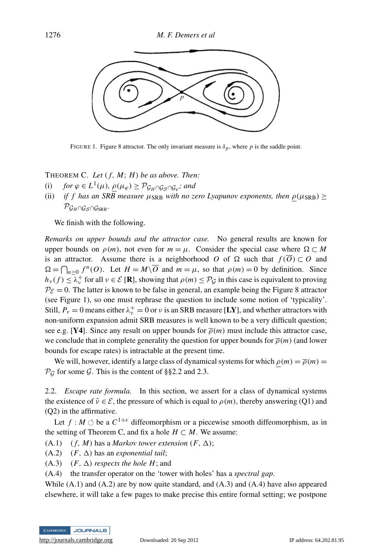

FIGURE 1. Figure 8 attractor. The only invariant measure is  $\delta_p$ , where p is the saddle point.

## THEOREM C. Let  $(f, M; H)$  be as above. Then:

- (i)  $for \varphi \in L^1(\mu), \underline{\rho}(\mu_{\varphi}) \geq \mathcal{P}_{\mathcal{G}_H \cap \mathcal{G}_{\mathcal{S}} \cap \mathcal{G}_{\varphi}};$  and
- (ii) *if f has an SRB measure*  $\mu_{\text{SRB}}$  *with no zero Lyapunov exponents, then*  $\rho(\mu_{\text{SRB}}) \ge$  $\mathcal{P}_{\mathcal{G}_H \cap \mathcal{G}_S \cap \mathcal{G}_{SRB}}$ .

We finish with the following.

*Remarks on upper bounds and the attractor case.* No general results are known for upper bounds on  $\rho(m)$ , not even for  $m = \mu$ . Consider the special case where  $\Omega \subset M$ is an attractor. Assume there is a neighborhood *O* of  $\Omega$  such that  $f(\overline{O}) \subset O$  and  $\Omega = \bigcap_{n \geq 0} f^n(O)$ . Let  $H = M\setminus \overline{O}$  and  $m = \mu$ , so that  $\rho(m) = 0$  by definition. Since  $h_v(f) \leq \lambda_v^+$  for all  $v \in \mathcal{E}[\mathbf{R}]$ , showing that  $\rho(m) \leq \mathcal{P}_{\mathcal{G}}$  in this case is equivalent to proving  $P_{\mathcal{E}} = 0$ . The latter is known to be false in general, an example being the Figure 8 attractor (see Figure 1), so one must rephrase the question to include some notion of 'typicality'. Still,  $P_v = 0$  means either  $\lambda_v^+ = 0$  or v is an SRB measure [LY], and whether attractors with non-uniform expansion admit SRB measures is well known to be a very difficult question; see e.g. [Y4]. Since any result on upper bounds for  $\bar{\rho}(m)$  must include this attractor case, we conclude that in complete generality the question for upper bounds for  $\overline{\rho}(m)$  (and lower bounds for escape rates) is intractable at the present time.

We will, however, identify a large class of dynamical systems for which  $\rho(m) = \overline{\rho}(m)$  $\mathcal{P}_\mathcal{G}$  for some  $\mathcal{G}$ . This is the content of §§2.2 and 2.3.

2.2. *Escape rate formula.* In this section, we assert for a class of dynamical systems the existence of  $\hat{v} \in \mathcal{E}$ , the pressure of which is equal to  $\rho(m)$ , thereby answering (Q1) and (Q2) in the affirmative.

Let  $f : M \circlearrowleft$  be a  $C^{1+\varepsilon}$  diffeomorphism or a piecewise smooth diffeomorphism, as in the setting of Theorem C, and fix a hole  $H \subset M$ . We assume:

- $(A.1)$   $(f, M)$  has a *Markov tower extension*  $(F, \Delta)$ ;
- $(A.2)$   $(F, \Delta)$  has an *exponential tail*;
- (A.3)  $(F, \Delta)$  *respects the hole H*; and
- (A.4) the transfer operator on the 'tower with holes' has a *spectral gap*.

While  $(A.1)$  and  $(A.2)$  are by now quite standard, and  $(A.3)$  and  $(A.4)$  have also appeared elsewhere, it will take a few pages to make precise this entire formal setting; we postpone

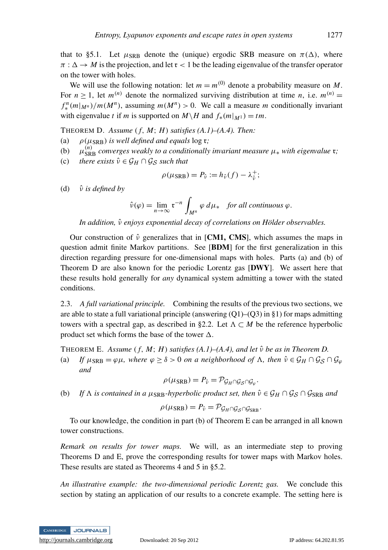that to §5.1. Let  $\mu_{\text{SRR}}$  denote the (unique) ergodic SRB measure on  $\pi(\Delta)$ , where  $\pi : \Delta \to M$  is the projection, and let  $\tau < 1$  be the leading eigenvalue of the transfer operator on the tower with holes.

We will use the following notation: let  $m = m^{(0)}$  denote a probability measure on M. For  $n \geq 1$ , let  $m^{(n)}$  denote the normalized surviving distribution at time *n*, i.e.  $m^{(n)} =$  $f_*^n(m|_{M^n})/m(M^n)$ , assuming  $m(M^n) > 0$ . We call a measure *m* conditionally invariant with eigenvalue *t* if *m* is supported on  $M \setminus H$  and  $f_*(m|_{M^1}) = tm$ .

THEOREM D. *Assume*  $(f, M; H)$  *satisfies*  $(A.1)$ – $(A.4)$ *. Then:* 

- (a)  $\rho(\mu_{SRB})$  *is well defined and equals* log **r**;
- $(b)$ (*n*) SRB *converges weakly to a conditionally invariant measure* µ<sup>∗</sup> *with eigenvalue* r*;*
- (c) *there exists*  $\hat{v} \in \mathcal{G}_H \cap \mathcal{G}_S$  *such that*

$$
\rho(\mu_{\rm SRB}) = P_{\hat{\nu}} := h_{\hat{\nu}}(f) - \lambda_{\hat{\nu}}^{+};
$$

(d)  $\hat{v}$  *is defined by* 

$$
\hat{\nu}(\varphi) = \lim_{n \to \infty} \mathfrak{r}^{-n} \int_{M^n} \varphi \, d\mu_* \quad \text{for all continuous } \varphi.
$$

*In addition,* νˆ *enjoys exponential decay of correlations on Holder observables. ¨*

Our construction of  $\hat{v}$  generalizes that in [CM1, CMS], which assumes the maps in question admit finite Markov partitions. See [BDM] for the first generalization in this direction regarding pressure for one-dimensional maps with holes. Parts (a) and (b) of Theorem D are also known for the periodic Lorentz gas [DWY]. We assert here that these results hold generally for *any* dynamical system admitting a tower with the stated conditions.

2.3. *A full variational principle.* Combining the results of the previous two sections, we are able to state a full variational principle (answering  $(Q1)$ – $(Q3)$  in §1) for maps admitting towers with a spectral gap, as described in §2.2. Let  $\Lambda \subset M$  be the reference hyperbolic product set which forms the base of the tower  $\Delta$ .

THEOREM E. *Assume* ( *f*, *M*; *H*) *satisfies (A.1)–(A.4), and let* νˆ *be as in Theorem D.*

(a) *If*  $\mu_{\text{SRB}} = \varphi \mu$ *, where*  $\varphi \ge \delta > 0$  *on a neighborhood of*  $\Lambda$ *, then*  $\hat{\nu} \in \mathcal{G}_H \cap \mathcal{G}_S \cap \mathcal{G}_\omega$ *and*

$$
\rho(\mu_{\rm SRB}) = P_{\hat{\nu}} = \mathcal{P}_{\mathcal{G}_H \cap \mathcal{G}_S \cap \mathcal{G}_{\varphi}}.
$$

(b) *If*  $\Lambda$  *is contained in a*  $\mu_{\text{SRB}}$ *-hyperbolic product set, then*  $\hat{v} \in \mathcal{G}_H \cap \mathcal{G}_S \cap \mathcal{G}_{\text{SRB}}$  *and* 

$$
\rho(\mu_{\rm SRB}) = P_{\hat{v}} = \mathcal{P}_{\mathcal{G}_H \cap \mathcal{G}_{\mathcal{S}} \cap \mathcal{G}_{\rm SRB}}.
$$

To our knowledge, the condition in part (b) of Theorem E can be arranged in all known tower constructions.

*Remark on results for tower maps.* We will, as an intermediate step to proving Theorems D and E, prove the corresponding results for tower maps with Markov holes. These results are stated as Theorems 4 and 5 in §5.2.

*An illustrative example: the two-dimensional periodic Lorentz gas.* We conclude this section by stating an application of our results to a concrete example. The setting here is

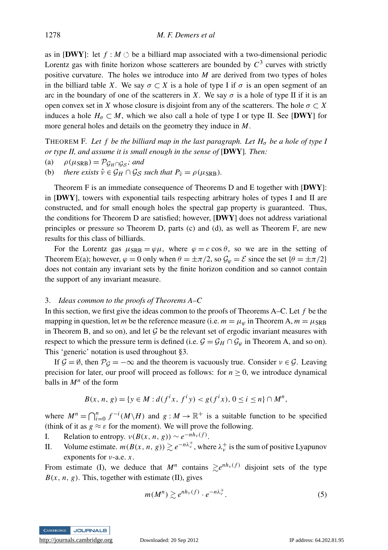as in [DWY]: let  $f : M \circlearrowleft$  be a billiard map associated with a two-dimensional periodic Lorentz gas with finite horizon whose scatterers are bounded by  $C<sup>3</sup>$  curves with strictly positive curvature. The holes we introduce into *M* are derived from two types of holes in the billiard table *X*. We say  $\sigma \subset X$  is a hole of type I if  $\sigma$  is an open segment of an arc in the boundary of one of the scatterers in *X*. We say  $\sigma$  is a hole of type II if it is an open convex set in *X* whose closure is disjoint from any of the scatterers. The hole  $\sigma \subset X$ induces a hole  $H_{\sigma} \subset M$ , which we also call a hole of type I or type II. See [DWY] for more general holes and details on the geometry they induce in *M*.

THEOREM F. Let f be the billiard map in the last paragraph. Let  $H_{\sigma}$  be a hole of type I *or type II, and assume it is small enough in the sense of* [DWY]*. Then:*

(a) 
$$
\rho(\mu_{SRB}) = \mathcal{P}_{\mathcal{G}_H \cap \mathcal{G}_S}
$$
; and

(b) *there exists*  $\hat{v} \in \mathcal{G}_H \cap \mathcal{G}_S$  *such that*  $P_{\hat{v}} = \rho(\mu_{\rm SRB})$ *.* 

Theorem F is an immediate consequence of Theorems D and E together with [DWY]: in  $[DWY]$ , towers with exponential tails respecting arbitrary holes of types I and II are constructed, and for small enough holes the spectral gap property is guaranteed. Thus, the conditions for Theorem D are satisfied; however,  $[DWY]$  does not address variational principles or pressure so Theorem D, parts (c) and (d), as well as Theorem F, are new results for this class of billiards.

For the Lorentz gas  $\mu_{\text{SRB}} = \varphi \mu$ , where  $\varphi = c \cos \theta$ , so we are in the setting of Theorem E(a); however,  $\varphi = 0$  only when  $\theta = \pm \pi/2$ , so  $\mathcal{G}_{\varphi} = \mathcal{E}$  since the set  $\{\theta = \pm \pi/2\}$ does not contain any invariant sets by the finite horizon condition and so cannot contain the support of any invariant measure.

#### 3. *Ideas common to the proofs of Theorems A–C*

In this section, we first give the ideas common to the proofs of Theorems A–C. Let *f* be the mapping in question, let *m* be the reference measure (i.e.  $m = \mu_{\varphi}$  in Theorem A,  $m = \mu_{\text{SRB}}$ in Theorem B, and so on), and let  $G$  be the relevant set of ergodic invariant measures with respect to which the pressure term is defined (i.e.  $\mathcal{G} = \mathcal{G}_H \cap \mathcal{G}_{\varphi}$  in Theorem A, and so on). This 'generic' notation is used throughout §3.

If  $\mathcal{G} = \emptyset$ , then  $\mathcal{P}_{\mathcal{G}} = -\infty$  and the theorem is vacuously true. Consider  $v \in \mathcal{G}$ . Leaving precision for later, our proof will proceed as follows: for  $n \ge 0$ , we introduce dynamical balls in *M<sup>n</sup>* of the form

$$
B(x, n, g) = \{y \in M : d(f^{i}x, f^{i}y) < g(f^{i}x), \, 0 \leq i \leq n\} \cap M^{n},
$$

where  $M^n = \bigcap_{i=0}^n f^{-i}(M \setminus H)$  and  $g: M \to \mathbb{R}^+$  is a suitable function to be specified (think of it as  $g \approx \varepsilon$  for the moment). We will prove the following.

- I. Relation to entropy.  $\nu(B(x, n, g)) \sim e^{-nh_{\nu}(f)}$ .
- II. Volume estimate.  $m(B(x, n, g)) \gtrsim e^{-n\lambda_v^+}$ , where  $\lambda_v^+$  is the sum of positive Lyapunov exponents for ν-a.e. *x*.

From estimate (I), we deduce that  $M^n$  contains  $\geq e^{nh_v(f)}$  disjoint sets of the type  $B(x, n, g)$ . This, together with estimate (II), gives

$$
m(M^n) \gtrsim e^{nh_v(f)} \cdot e^{-n\lambda_v^+}.\tag{5}
$$

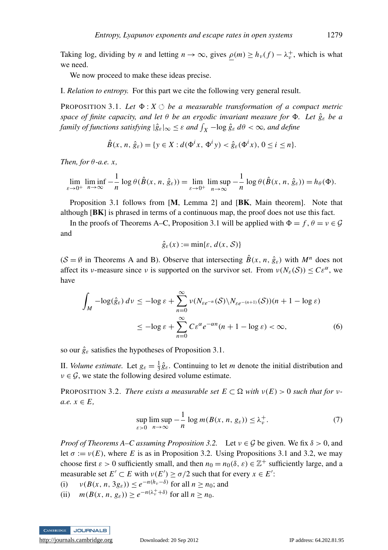Taking log, dividing by *n* and letting  $n \to \infty$ , gives  $\rho(m) \ge h_{\nu}(f) - \lambda_{\nu}^+$ , which is what we need.

We now proceed to make these ideas precise.

I. *Relation to entropy.* For this part we cite the following very general result.

**PROPOSITION 3.1.** Let  $\Phi$ :  $X \circlearrowleft$  be a measurable transformation of a compact metric *space of finite capacity, and let* θ *be an ergodic invariant measure for* 8*. Let g*ˆ<sup>ε</sup> *be a family of functions satisfying*  $|\hat{g}_{\varepsilon}|_{\infty} \leq \varepsilon$  *and*  $\int_X -\log \hat{g}_{\varepsilon} d\theta < \infty$ *, and define* 

$$
\hat{B}(x, n, \hat{g}_{\varepsilon}) = \{ y \in X : d(\Phi^i x, \Phi^i y) < \hat{g}_{\varepsilon}(\Phi^i x), \, 0 \le i \le n \}.
$$

*Then, for* θ*-a.e. x,*

$$
\lim_{\varepsilon \to 0^+} \liminf_{n \to \infty} -\frac{1}{n} \log \theta(\hat{B}(x, n, \hat{g}_{\varepsilon})) = \lim_{\varepsilon \to 0^+} \limsup_{n \to \infty} -\frac{1}{n} \log \theta(\hat{B}(x, n, \hat{g}_{\varepsilon})) = h_{\theta}(\Phi).
$$

Proposition 3.1 follows from [M, Lemma 2] and [BK, Main theorem]. Note that although [BK] is phrased in terms of a continuous map, the proof does not use this fact.

In the proofs of Theorems A–C, Proposition 3.1 will be applied with  $\Phi = f, \theta = v \in \mathcal{G}$ and

$$
\hat{g}_{\varepsilon}(x) := \min\{\varepsilon, d(x, \mathcal{S})\}
$$

 $(S = \emptyset$  in Theorems A and B). Observe that intersecting  $\hat{B}(x, n, \hat{g}_{\varepsilon})$  with  $M^n$  does not affect its *v*-measure since *v* is supported on the survivor set. From  $\nu(N_{\varepsilon}(S)) \leq C\varepsilon^{\alpha}$ , we have

$$
\int_{M} -\log(\hat{g}_{\varepsilon}) \, d\nu \le -\log \varepsilon + \sum_{n=0}^{\infty} \nu(N_{\varepsilon e^{-n}}(\mathcal{S}) \setminus N_{\varepsilon e^{-(n+1)}}(\mathcal{S})) (n+1 - \log \varepsilon)
$$
\n
$$
\le -\log \varepsilon + \sum_{n=0}^{\infty} C \varepsilon^{\alpha} e^{-\alpha n} (n+1 - \log \varepsilon) < \infty,\tag{6}
$$

so our  $\hat{g}_{\varepsilon}$  satisfies the hypotheses of Proposition 3.1.

II. *Volume estimate*. Let  $g_{\varepsilon} = \frac{1}{3} \hat{g}_{\varepsilon}$ . Continuing to let *m* denote the initial distribution and  $v \in \mathcal{G}$ , we state the following desired volume estimate.

**PROPOSITION 3.2.** *There exists a measurable set*  $E \subset \Omega$  *with*  $v(E) > 0$  *such that for*  $v$  $a.e. x \in E$ .

$$
\sup_{\varepsilon>0} \limsup_{n \to \infty} -\frac{1}{n} \log m(B(x, n, g_{\varepsilon})) \le \lambda_v^+.
$$
 (7)

*Proof of Theorems*  $A-C$  *assuming Proposition* 3.2. Let  $v \in G$  be given. We fix  $\delta > 0$ , and let  $\sigma := v(E)$ , where *E* is as in Proposition 3.2. Using Propositions 3.1 and 3.2, we may choose first  $\varepsilon > 0$  sufficiently small, and then  $n_0 = n_0(\delta, \varepsilon) \in \mathbb{Z}^+$  sufficiently large, and a measurable set  $E' \subset E$  with  $v(E') \ge \sigma/2$  such that for every  $x \in E'$ :

(i)  $v(B(x, n, 3g_{\varepsilon})) \leq e^{-n(h_v - \delta)}$  for all  $n \geq n_0$ ; and

(ii)  $m(B(x, n, g_{\varepsilon})) \geq e^{-n(\lambda_v^+ + \delta)}$  for all  $n \geq n_0$ .

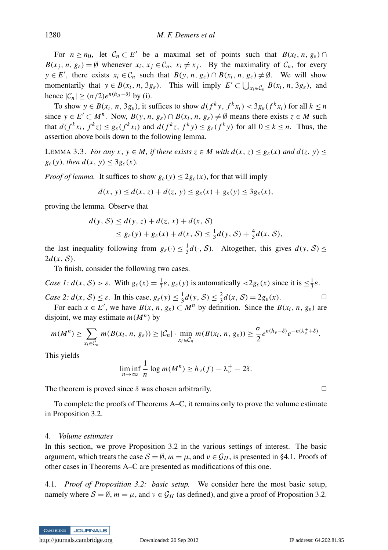For  $n \ge n_0$ , let  $C_n \subset E'$  be a maximal set of points such that  $B(x_i, n, g_{\varepsilon}) \cap$  $B(x_j, n, g_{\varepsilon}) = \emptyset$  whenever  $x_i, x_j \in C_n$ ,  $x_i \neq x_j$ . By the maximality of  $C_n$ , for every  $y \in E'$ , there exists  $x_i \in C_n$  such that  $B(y, n, g_{\varepsilon}) \cap B(x_i, n, g_{\varepsilon}) \neq \emptyset$ . We will show momentarily that  $y \in B(x_i, n, 3g_{\varepsilon})$ . This will imply  $E' \subset \bigcup_{x_i \in C_n} B(x_i, n, 3g_{\varepsilon})$ , and hence  $|\mathcal{C}_n| \geq (\sigma/2)e^{n(h_\mu - \delta)}$  by (i).

To show  $y \in B(x_i, n, 3g_{\varepsilon})$ , it suffices to show  $d(f^k y, f^k x_i) < 3g_{\varepsilon}(f^k x_i)$  for all  $k \le n$ since  $y \in E' \subset M^n$ . Now,  $B(y, n, g_{\varepsilon}) \cap B(x_i, n, g_{\varepsilon}) \neq \emptyset$  means there exists  $z \in M$  such that  $d(f^k x_i, f^k z) \le g_{\varepsilon}(f^k x_i)$  and  $d(f^k z, f^k y) \le g_{\varepsilon}(f^k y)$  for all  $0 \le k \le n$ . Thus, the assertion above boils down to the following lemma.

LEMMA 3.3. *For any x*,  $y \in M$ , *if there exists*  $z \in M$  *with*  $d(x, z) \le g_{\varepsilon}(x)$  *and*  $d(z, y) \le$  $g_{\varepsilon}(y)$ *, then*  $d(x, y) \leq 3g_{\varepsilon}(x)$ *.* 

*Proof of lemma.* It suffices to show  $g_{\varepsilon}(y) \leq 2g_{\varepsilon}(x)$ , for that will imply

$$
d(x, y) \le d(x, z) + d(z, y) \le g_{\varepsilon}(x) + g_{\varepsilon}(y) \le 3g_{\varepsilon}(x),
$$

proving the lemma. Observe that

$$
d(y, S) \le d(y, z) + d(z, x) + d(x, S)
$$
  
\n
$$
\le g_{\varepsilon}(y) + g_{\varepsilon}(x) + d(x, S) \le \frac{1}{3}d(y, S) + \frac{4}{3}d(x, S),
$$

the last inequality following from  $g_{\varepsilon}(\cdot) \leq \frac{1}{3}d(\cdot, \mathcal{S})$ . Altogether, this gives  $d(y, \mathcal{S}) \leq$  $2d(x, S)$ .

To finish, consider the following two cases.

*Case 1:*  $d(x, S) > \varepsilon$ . With  $g_{\varepsilon}(x) = \frac{1}{3}\varepsilon$ ,  $g_{\varepsilon}(y)$  is automatically  $\langle 2g_{\varepsilon}(x) \rangle$  since it is  $\leq \frac{1}{3}\varepsilon$ .

*Case 2:*  $d(x, S) \leq \varepsilon$ . In this case,  $g_{\varepsilon}(y) \leq \frac{1}{3}d(y, S) \leq \frac{2}{3}d(x, S) = 2g_{\varepsilon}(x)$ .

For each  $x \in E'$ , we have  $B(x, n, g_{\varepsilon}) \subset M^n$  by definition. Since the  $B(x_i, n, g_{\varepsilon})$  are disjoint, we may estimate  $m(M^n)$  by

$$
m(M^n) \geq \sum_{x_i \in C_n} m(B(x_i, n, g_{\varepsilon})) \geq |C_n| \cdot \min_{x_i \in C_n} m(B(x_i, n, g_{\varepsilon})) \geq \frac{\sigma}{2} e^{n(h_{\nu} - \delta)} e^{-n(\lambda_{\nu}^+ + \delta)}.
$$

This yields

$$
\liminf_{n \to \infty} \frac{1}{n} \log m(M^n) \ge h_{\nu}(f) - \lambda_{\nu}^+ - 2\delta.
$$

The theorem is proved since  $\delta$  was chosen arbitrarily.  $\Box$ 

To complete the proofs of Theorems A–C, it remains only to prove the volume estimate in Proposition 3.2.

#### 4. *Volume estimates*

In this section, we prove Proposition 3.2 in the various settings of interest. The basic argument, which treats the case  $S = \emptyset$ ,  $m = \mu$ , and  $\nu \in \mathcal{G}_H$ , is presented in §4.1. Proofs of other cases in Theorems A–C are presented as modifications of this one.

4.1. *Proof of Proposition 3.2: basic setup.* We consider here the most basic setup, namely where  $S = \emptyset$ ,  $m = \mu$ , and  $\nu \in \mathcal{G}_H$  (as defined), and give a proof of Proposition 3.2.

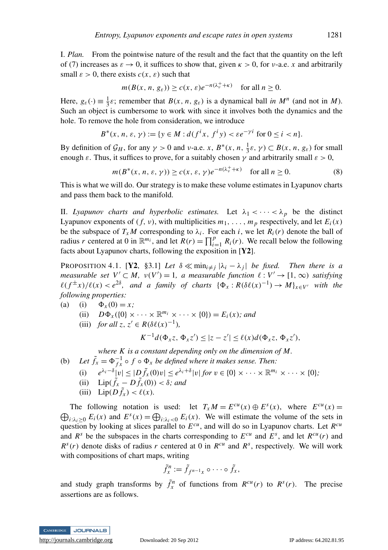I. *Plan.* From the pointwise nature of the result and the fact that the quantity on the left of (7) increases as  $\varepsilon \to 0$ , it suffices to show that, given  $\kappa > 0$ , for *v*-a.e. *x* and arbitrarily small  $\varepsilon > 0$ , there exists  $c(x, \varepsilon)$  such that

$$
m(B(x, n, g_{\varepsilon})) \ge c(x, \varepsilon)e^{-n(\lambda_v^+ + \kappa)}
$$
 for all  $n \ge 0$ .

Here,  $g_{\varepsilon}(\cdot) \equiv \frac{1}{3}\varepsilon$ ; remember that  $B(x, n, g_{\varepsilon})$  is a dynamical ball *in*  $M^n$  (and not in *M*). Such an object is cumbersome to work with since it involves both the dynamics and the hole. To remove the hole from consideration, we introduce

$$
B^*(x, n, \varepsilon, \gamma) := \{ y \in M : d(f^ix, f^iy) < \varepsilon e^{-\gamma i} \text{ for } 0 \le i < n \}.
$$

By definition of  $\mathcal{G}_H$ , for any  $\gamma > 0$  and v-a.e. *x*,  $B^*(x, n, \frac{1}{3}\varepsilon, \gamma) \subset B(x, n, g_{\varepsilon})$  for small enough  $\varepsilon$ . Thus, it suffices to prove, for a suitably chosen  $\gamma$  and arbitrarily small  $\varepsilon > 0$ ,

$$
m(B^*(x, n, \varepsilon, \gamma)) \ge c(x, \varepsilon, \gamma)e^{-n(\lambda_v^+ + \kappa)} \quad \text{for all } n \ge 0.
$$
 (8)

This is what we will do. Our strategy is to make these volume estimates in Lyapunov charts and pass them back to the manifold.

II. *Lyapunov charts and hyperbolic estimates.* Let  $\lambda_1 < \cdots < \lambda_p$  be the distinct Lyapunov exponents of  $(f, v)$ , with multiplicities  $m_1, \ldots, m_p$  respectively, and let  $E_i(x)$ be the subspace of  $T_xM$  corresponding to  $\lambda_i$ . For each *i*, we let  $R_i(r)$  denote the ball of radius *r* centered at 0 in  $\mathbb{R}^{m_i}$ , and let  $R(r) = \prod_{i=1}^p R_i(r)$ . We recall below the following facts about Lyapunov charts, following the exposition in [Y2].

PROPOSITION 4.1. [Y2, §3.1] *Let*  $\delta \ll \min_{i \neq j} |\lambda_i - \lambda_j|$  *be fixed. Then there is a measurable set*  $V' \subset M$ ,  $v(V') = 1$ , a measurable function  $\ell : V' \to [1, \infty)$  *satisfying*  $\ell(f^{\pm}x)/\ell(x) < e^{2\delta}$ , and a family of charts  $\{\Phi_x : R(\delta\ell(x)^{-1}) \to M\}_{x \in V}$  with the *following properties:*

- (a) (i)  $\Phi_x(0) = x;$ 
	- (ii)  $D\Phi_x({0} \times \cdots \times \mathbb{R}^{m_i} \times \cdots \times {0}) = E_i(x)$ ; and
	- (iii) *for all*  $z, z' \in R(\delta \ell(x)^{-1}),$

 $K^{-1}d(\Phi_x z, \Phi_x z') \leq |z - z'| \leq \ell(x)d(\Phi_x z, \Phi_x z'),$ 

*where K is a constant depending only on the dimension of M.*

(b) Let  $\tilde{f}_x = \Phi_{fx}^{-1} \circ f \circ \Phi_x$  be defined where it makes sense. Then:

(i) 
$$
e^{\lambda_i-\delta}|v| \leq |D\tilde{f}_x(0)v| \leq e^{\lambda_i+\delta}|v| \text{ for } v \in \{0\} \times \cdots \times \mathbb{R}^{m_i} \times \cdots \times \{0\};
$$

- (ii)  $\text{Lip}(\tilde{f}_x D\tilde{f}_x(0)) < \delta$ *; and*
- (iii)  $\text{Lip}(D\tilde{f}_x) < \ell(x)$ .

The following notation is used: let  $T_x M = E^{cu}(x) \oplus E^s(x)$ , where  $E^{cu}(x) =$  $\bigoplus_{i:\lambda_i\geq 0} E_i(x)$  and  $E^s(x) = \bigoplus_{i:\lambda_i < 0} E_i(x)$ . We will estimate the volume of the sets in question by looking at slices parallel to *E cu*, and will do so in Lyapunov charts. Let *R cu* and  $R^s$  be the subspaces in the charts corresponding to  $E^{cu}$  and  $E^s$ , and let  $R^{cu}(r)$  and  $R^{s}(r)$  denote disks of radius *r* centered at 0 in  $R^{cu}$  and  $R^{s}$ , respectively. We will work with compositions of chart maps, writing

$$
\tilde{f}_x^n := \tilde{f}_{f^{n-1}x} \circ \cdots \circ \tilde{f}_x,
$$

and study graph transforms by  $\tilde{f}_x^n$  of functions from  $R^{cu}(r)$  to  $R^s(r)$ . The precise assertions are as follows.

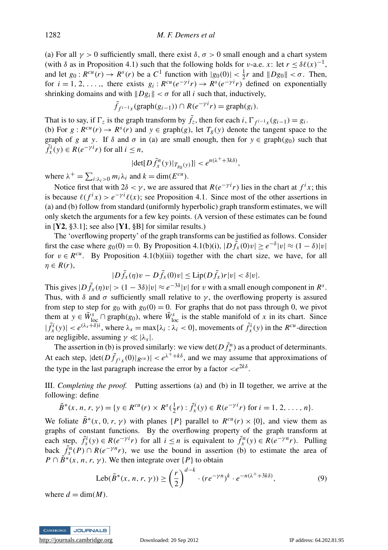(a) For all  $\gamma > 0$  sufficiently small, there exist  $\delta$ ,  $\sigma > 0$  small enough and a chart system (with  $\delta$  as in Proposition 4.1) such that the following holds for *v*-a.e. *x*: let  $r \leq \delta \ell(x)^{-1}$ , and let  $g_0: R^{cu}(r) \to R^s(r)$  be a  $C^1$  function with  $|g_0(0)| < \frac{1}{2}r$  and  $||Dg_0|| < \sigma$ . Then, for  $i = 1, 2, ...,$ , there exists  $g_i : R^{cu}(e^{-\gamma i}r) \rightarrow R^s(e^{-\gamma i}r)$  defined on exponentially shrinking domains and with  $\|Dg_i\| < \sigma$  for all *i* such that, inductively,

$$
\tilde{f}_{f^{i-1}x}(\text{graph}(g_{i-1})) \cap R(e^{-\gamma i}r) = \text{graph}(g_i).
$$

That is to say, if  $\Gamma_z$  is the graph transform by  $\tilde{f}_z$ , then for each *i*,  $\Gamma_{f^{i-1}x}(g_{i-1}) = g_i$ . (b) For  $g: R^{cu}(r) \to R^s(r)$  and  $y \in \text{graph}(g)$ , let  $T_g(y)$  denote the tangent space to the graph of *g* at *y*. If  $\delta$  and  $\sigma$  in (a) are small enough, then for  $y \in \text{graph}(g_0)$  such that  $\tilde{f}_x^i(y) \in R(e^{-\gamma i}r)$  for all  $i \leq n$ ,

$$
|\det[D\tilde{f}_x^n(y)|_{T_{g_0}(y)}]| < e^{n(\lambda^+ + 3k\delta)},
$$

where  $\lambda^+ = \sum_{i:\lambda_i>0} m_i \lambda_i$  and  $k = \dim(E^{cu})$ .

Notice first that with  $2\delta < \gamma$ , we are assured that  $R(e^{-\gamma i}r)$  lies in the chart at  $f^i x$ ; this is because  $\ell(f^i x) > e^{-\gamma i} \ell(x)$ ; see Proposition 4.1. Since most of the other assertions in (a) and (b) follow from standard (uniformly hyperbolic) graph transform estimates, we will only sketch the arguments for a few key points. (A version of these estimates can be found in  $[Y2, §3.1]$ ; see also  $[Y1, §B]$  for similar results.)

The 'overflowing property' of the graph transforms can be justified as follows. Consider first the case where  $g_0(0) = 0$ . By Proposition 4.1(b)(i),  $|D \tilde{f}_x(0)v| \geq e^{-\delta} |v| \approx (1 - \delta) |v|$ for  $v \in R^{cu}$ . By Proposition 4.1(b)(iii) together with the chart size, we have, for all  $\eta \in R(r)$ ,

$$
|D\tilde{f}_x(\eta)v - D\tilde{f}_x(0)v| \leq \text{Lip}(D\tilde{f}_x)r|v| < \delta|v|.
$$

This gives  $|D \tilde{f}_x(\eta) v| > (1 - 3\delta)|v| \approx e^{-3\delta} |v|$  for v with a small enough component in  $R^s$ . Thus, with  $\delta$  and  $\sigma$  sufficiently small relative to  $\gamma$ , the overflowing property is assured from step to step for  $g_0$  with  $g_0(0) = 0$ . For graphs that do not pass through 0, we pivot them at  $y \in \tilde{W}_{loc}^s \cap \text{graph}(g_0)$ , where  $\tilde{W}_{loc}^s$  is the stable manifold of *x* in its chart. Since  $|\tilde{f}_x^i(y)| < e^{(\lambda_s + \delta)i}$ , where  $\lambda_s = \max{\lambda_i : \lambda_i < 0}$ , movements of  $\tilde{f}_x^i(y)$  in the *R*<sup>*cu*</sup>-direction are negligible, assuming  $\gamma \ll |\lambda_s|$ .

The assertion in (b) is proved similarly: we view  $\det(D\tilde{f}_x^n)$  as a product of determinants. At each step,  $|\det(D\tilde{f}_{f^ix}(0)|_{R^{cu}})| < e^{\lambda^+ + k\delta}$ , and we may assume that approximations of the type in the last paragraph increase the error by a factor  $\langle e^{2k\delta} \rangle$ .

III. *Completing the proof.* Putting assertions (a) and (b) in II together, we arrive at the following: define

 $\tilde{B}^*(x, n, r, \gamma) = \{ y \in R^{cu}(r) \times R^s(\frac{1}{2}r) : \tilde{f}^i_x(y) \in R(e^{-\gamma i}r) \text{ for } i = 1, 2, ..., n \}.$ 

We foliate  $\tilde{B}^*(x, 0, r, \gamma)$  with planes  $\{P\}$  parallel to  $R^{cu}(r) \times \{0\}$ , and view them as graphs of constant functions. By the overflowing property of the graph transform at each step,  $\tilde{f}_x^i(y) \in R(e^{-\gamma i}r)$  for all  $i \leq n$  is equivalent to  $\tilde{f}_x^n(y) \in R(e^{-\gamma n}r)$ . Pulling back  $\int_{x}^{n}(P) \cap R(e^{-\gamma n}r)$ , we use the bound in assertion (b) to estimate the area of  $P \cap \tilde{B}^*(x, n, r, \gamma)$ . We then integrate over  $\{P\}$  to obtain

$$
\text{Leb}(\tilde{B}^*(x, n, r, \gamma)) \ge \left(\frac{r}{2}\right)^{d-k} \cdot (re^{-\gamma n})^k \cdot e^{-n(\lambda^+ + 3k\delta)},\tag{9}
$$

where  $d = \dim(M)$ .

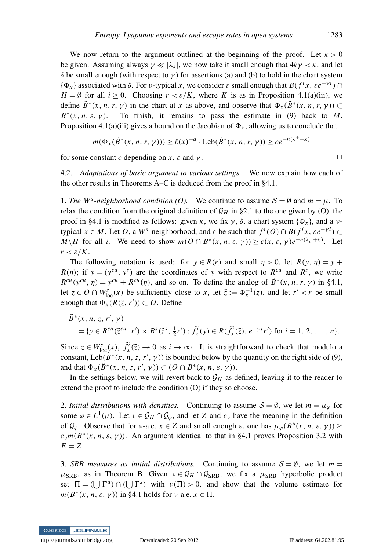We now return to the argument outlined at the beginning of the proof. Let  $\kappa > 0$ be given. Assuming always  $\gamma \ll |\lambda_s|$ , we now take it small enough that  $4k\gamma < \kappa$ , and let δ be small enough (with respect to  $γ$ ) for assertions (a) and (b) to hold in the chart system { $\Phi_x$ } associated with  $\delta$ . For *v*-typical *x*, we consider  $\varepsilon$  small enough that  $B(f^i x, \varepsilon e^{-\gamma i})$  $H = \emptyset$  for all  $i \geq 0$ . Choosing  $r \leq \varepsilon/K$ , where *K* is as in Proposition 4.1(a)(iii), we define  $\tilde{B}^*(x, n, r, \gamma)$  in the chart at *x* as above, and observe that  $\Phi_x(\tilde{B}^*(x, n, r, \gamma)) \subset$ *B* ∗ To finish, it remains to pass the estimate in (9) back to *M*. Proposition 4.1(a)(iii) gives a bound on the Jacobian of  $\Phi_x$ , allowing us to conclude that

$$
m(\Phi_x(\tilde{B}^*(x, n, r, \gamma))) \ge \ell(x)^{-d} \cdot \text{Leb}(\tilde{B}^*(x, n, r, \gamma)) \ge ce^{-n(\lambda^+ + \kappa)}
$$

for some constant *c* depending on *x*,  $\varepsilon$  and  $\gamma$ .

4.2. *Adaptations of basic argument to various settings.* We now explain how each of the other results in Theorems A–C is deduced from the proof in §4.1.

1. *The W<sup>s</sup>*-neighborhood condition (O). We continue to assume  $S = \emptyset$  and  $m = \mu$ . To relax the condition from the original definition of  $\mathcal{G}_H$  in §2.1 to the one given by (O), the proof in §4.1 is modified as follows: given κ, we fix γ, δ, a chart system  $\{\Phi_x\}$ , and a νtypical  $x \in M$ . Let *O*, a *W*<sup>*s*</sup>-neighborhood, and  $\varepsilon$  be such that  $f^i(O) \cap B(f^i x, \varepsilon e^{-\gamma i}) \subset$  $M\backslash H$  for all *i*. We need to show  $m(O \cap B^*(x, n, \varepsilon, \gamma)) \ge c(x, \varepsilon, \gamma) e^{-n(\lambda_v^+ + \kappa)}$ . Let  $r < \varepsilon/K$ .

The following notation is used: for  $y \in R(r)$  and small  $\eta > 0$ , let  $R(y, \eta) = y +$  $R(\eta)$ ; if  $y = (y^{cu}, y^s)$  are the coordinates of *y* with respect to  $R^{cu}$  and  $R^s$ , we write  $R^{cu}(y^{cu}, \eta) = y^{cu} + R^{cu}(\eta)$ , and so on. To define the analog of  $\tilde{B}^*(x, n, r, \gamma)$  in §4.1, let  $z \in O \cap W_{loc}^s(x)$  be sufficiently close to *x*, let  $\tilde{z} := \Phi_x^{-1}(z)$ , and let  $r' < r$  be small enough that  $\Phi_x(R(\tilde{z}, r')) \subset O$ . Define

$$
\tilde{B}^*(x, n, z, r', \gamma) \n:= \{ y \in R^{cu}(\tilde{z}^{cu}, r') \times R^s(\tilde{z}^s, \frac{1}{2}r') : \tilde{f}^i_x(y) \in R(\tilde{f}^i_x(\tilde{z}), e^{-\gamma i}r') \text{ for } i = 1, 2, ..., n \}.
$$

Since  $z \in W^s_{\text{loc}}(x)$ ,  $\tilde{f}^i_x(\tilde{z}) \to 0$  as  $i \to \infty$ . It is straightforward to check that modulo a constant, Leb( $\tilde{B}^*(x, n, z, r', \gamma)$ ) is bounded below by the quantity on the right side of (9), and that  $\Phi_x(\tilde{B}^*(x, n, z, r', \gamma)) \subset (O \cap B^*(x, n, \varepsilon, \gamma)).$ 

In the settings below, we will revert back to  $\mathcal{G}_H$  as defined, leaving it to the reader to extend the proof to include the condition (O) if they so choose.

2. *Initial distributions with densities.* Continuing to assume  $S = \emptyset$ , we let  $m = \mu_{\varnothing}$  for some  $\varphi \in L^1(\mu)$ . Let  $\nu \in \mathcal{G}_H \cap \mathcal{G}_\varphi$ , and let *Z* and  $c_\nu$  have the meaning in the definition of  $\mathcal{G}_{\varphi}$ . Observe that for *v*-a.e.  $x \in Z$  and small enough  $\varepsilon$ , one has  $\mu_{\varphi}(B^*(x, n, \varepsilon, \gamma)) \ge$  $c_v m(B^*(x, n, \varepsilon, \gamma))$ . An argument identical to that in §4.1 proves Proposition 3.2 with  $E = Z$ .

3. *SRB measures as initial distributions.* Continuing to assume  $S = \emptyset$ , we let  $m =$  $\mu_{\rm SRB}$ , as in Theorem B. Given  $\nu \in \mathcal{G}_H \cap \mathcal{G}_{\rm SRB}$ , we fix a  $\mu_{\rm SRB}$  hyperbolic product set  $\Pi = (\bigcup \Gamma^u) \cap (\bigcup \Gamma^s)$  with  $\nu(\Pi) > 0$ , and show that the volume estimate for  $m(B^*(x, n, \varepsilon, \gamma))$  in §4.1 holds for *v*-a.e.  $x \in \Pi$ .

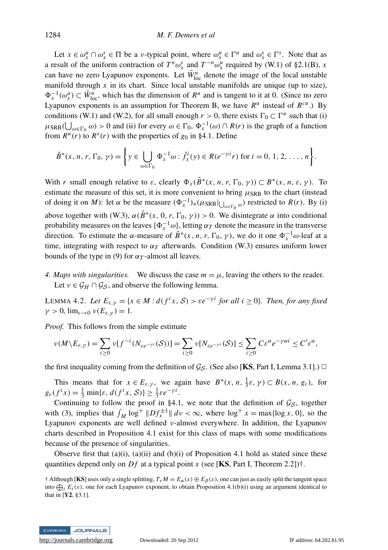Let  $x \in \omega_x^u \cap \omega_x^s \in \Pi$  be a *v*-typical point, where  $\omega_x^u \in \Gamma^u$  and  $\omega_x^s \in \Gamma^s$ . Note that as a result of the uniform contraction of  $T^n \omega_x^s$  and  $T^{-n} \omega_x^u$  required by (W.1) of §2.1(B), *x* can have no zero Lyapunov exponents. Let  $\tilde{W}_{loc}^u$  denote the image of the local unstable manifold through  $x$  in its chart. Since local unstable manifolds are unique (up to size),  $\Phi_x^{-1}(\omega_x^u) \subset \tilde{W}_{loc}^u$ , which has the dimension of  $R^u$  and is tangent to it at 0. (Since no zero Lyapunov exponents is an assumption for Theorem B, we have  $R^u$  instead of  $R^{cu}$ .) By conditions (W.1) and (W.2), for all small enough  $r > 0$ , there exists  $\Gamma_0 \subset \Gamma^u$  such that (i)  $\mu_{\text{SRB}}(\bigcup_{\omega \in \Gamma_0} \omega) > 0$  and (ii) for every  $\omega \in \Gamma_0$ ,  $\Phi_x^{-1}(\omega) \cap R(r)$  is the graph of a function from  $R^u(r)$  to  $R^s(r)$  with the properties of  $g_0$  in §4.1. Define

$$
\tilde{B}^*(x, n, r, \Gamma_0, \gamma) = \left\{ y \in \bigcup_{\omega \in \Gamma_0} \Phi_x^{-1} \omega : \tilde{f}_x^i(y) \in R(e^{-\gamma i}r) \text{ for } i = 0, 1, 2, \dots, n \right\}.
$$

With *r* small enough relative to  $\varepsilon$ , clearly  $\Phi_x(\tilde{B}^*(x, n, r, \Gamma_0, \gamma)) \subset B^*(x, n, \varepsilon, \gamma)$ . To estimate the measure of this set, it is more convenient to bring  $\mu_{\rm SRB}$  to the chart (instead of doing it on *M*): let  $\alpha$  be the measure  $(\Phi_x^{-1})_*(\mu_{SRB}|_{\bigcup_{\omega \in \Gamma_0} \omega})$  restricted to *R*(*r*). By (i) above together with (W.3),  $\alpha(\tilde{B}^*(x, 0, r, \Gamma_0, \gamma)) > 0$ . We disintegrate  $\alpha$  into conditional probability measures on the leaves  $\{\Phi_x^{-1}\omega\}$ , letting  $\alpha_T$  denote the measure in the transverse direction. To estimate the  $\alpha$ -measure of  $\tilde{B}^*(x, n, r, \Gamma_0, \gamma)$ , we do it one  $\Phi_x^{-1} \omega$ -leaf at a time, integrating with respect to  $\alpha_T$  afterwards. Condition (W.3) ensures uniform lower bounds of the type in (9) for  $\alpha_T$ -almost all leaves.

*4. Maps with singularities.* We discuss the case  $m = \mu$ , leaving the others to the reader. Let  $v \in \mathcal{G}_H \cap \mathcal{G}_S$ , and observe the following lemma.

LEMMA 4.2. Let  $E_{\varepsilon,\gamma} = \{x \in M : d(f^i x, S) > \varepsilon e^{-\gamma i} \text{ for all } i \ge 0\}$ . Then, for any fixed  $\gamma > 0$ ,  $\lim_{\varepsilon \to 0} v(E_{\varepsilon \nu}) = 1$ .

*Proof.* This follows from the simple estimate

$$
\nu(M \setminus E_{\varepsilon,\gamma}) = \sum_{i \geq 0} \nu[f^{-i}(N_{\varepsilon e^{-\gamma i}}(\mathcal{S}))] = \sum_{i \geq 0} \nu[N_{\varepsilon e^{-\gamma i}}(\mathcal{S})] \leq \sum_{i \geq 0} C \varepsilon^{\alpha} e^{-\gamma \alpha i} \leq C' \varepsilon^{\alpha},
$$

the first inequality coming from the definition of  $\mathcal{G}_{\mathcal{S}}$ . (See also [KS, Part I, Lemma 3.1].)  $\Box$ 

This means that for  $x \in E_{\varepsilon, \gamma}$ , we again have  $B^*(x, n, \frac{1}{3}\varepsilon, \gamma) \subset B(x, n, g_{\varepsilon})$ , for  $g_{\varepsilon}(f^ix) = \frac{1}{3} \min{\varepsilon, d(f^ix, S)} \ge \frac{1}{3} \varepsilon e^{-\gamma i}.$ 

Continuing to follow the proof in §4.1, we note that the definition of  $\mathcal{G}_\mathcal{S}$ , together with (3), implies that  $\int_M \log^+ \|Df_x^{\pm 1}\| dv < \infty$ , where  $\log^+ x = \max\{\log x, 0\}$ , so the Lyapunov exponents are well defined ν-almost everywhere. In addition, the Lyapunov charts described in Proposition 4.1 exist for this class of maps with some modifications because of the presence of singularities.

Observe first that (a)(i), (a)(ii) and (b)(i) of Proposition 4.1 hold as stated since these quantities depend only on *Df* at a typical point *x* (see [**KS**, Part I, Theorem 2.2])†.

<sup>†</sup> Although [KS] uses only a single splitting,  $T_x M = E_\alpha(x) \oplus E_\beta(x)$ , one can just as easily split the tangent space into  $\bigoplus_i E_i(x)$ , one for each Lyapunov exponent, to obtain Proposition 4.1(b)(i) using an argument identical to that in [Y2, §3.1].

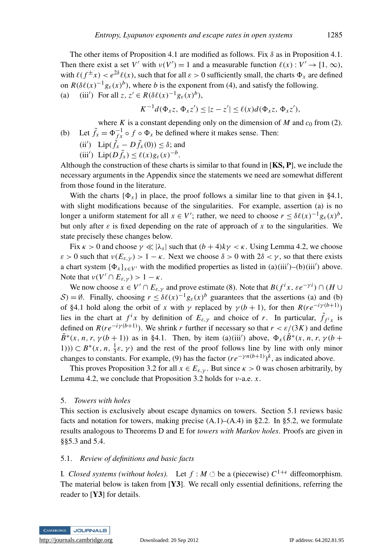The other items of Proposition 4.1 are modified as follows. Fix  $\delta$  as in Proposition 4.1. Then there exist a set *V'* with  $v(V') = 1$  and a measurable function  $\ell(x) : V' \to [1, \infty)$ , with  $\ell(f^{\pm}x) < e^{2\delta}\ell(x)$ , such that for all  $\varepsilon > 0$  sufficiently small, the charts  $\Phi_x$  are defined on  $R(\delta\ell(x)^{-1}g_{\varepsilon}(x)^{b})$ , where *b* is the exponent from (4), and satisfy the following. (a) (iii<sup>'</sup>) For all  $z, z' \in R(\delta\ell(x)^{-1}g_{\varepsilon}(x)^{b}),$ 

$$
K^{-1}d(\Phi_x z, \Phi_x z') \leq |z - z'| \leq \ell(x)d(\Phi_x z, \Phi_x z'),
$$

where *K* is a constant depending only on the dimension of *M* and  $c_0$  from (2). (b) Let  $\tilde{f}_x = \Phi_{f_x}^{-1} \circ f \circ \Phi_x$  be defined where it makes sense. Then:

(ii') 
$$
\text{Lip}(\tilde{f}_x - D\tilde{f}_x(0)) \le \delta
$$
; and

$$
(iii') \ \ \mathrm{Lip}(D\tilde{f}_x) \leq \ell(x)g_{\varepsilon}(x)^{-b}.
$$

Although the construction of these charts is similar to that found in  $[KS, P]$ , we include the necessary arguments in the Appendix since the statements we need are somewhat different from those found in the literature.

With the charts  $\{\Phi_x\}$  in place, the proof follows a similar line to that given in §4.1, with slight modifications because of the singularities. For example, assertion (a) is no longer a uniform statement for all  $x \in V'$ ; rather, we need to choose  $r \leq \delta \ell(x)^{-1} g_{\varepsilon}(x)^{b}$ , but only after  $\varepsilon$  is fixed depending on the rate of approach of x to the singularities. We state precisely these changes below.

Fix  $\kappa > 0$  and choose  $\gamma \ll |\lambda_s|$  such that  $(b+4)k\gamma < \kappa$ . Using Lemma 4.2, we choose  $\varepsilon > 0$  such that  $\nu(E_{\varepsilon,\nu}) > 1 - \kappa$ . Next we choose  $\delta > 0$  with  $2\delta < \gamma$ , so that there exists a chart system  $\{\Phi_x\}_{x \in V}$  with the modified properties as listed in (a)(iii')–(b)(iii') above. Note that  $\nu(V' \cap E_{\varepsilon,\gamma}) > 1 - \kappa$ .

We now choose  $x \in V' \cap E_{\varepsilon, \gamma}$  and prove estimate (8). Note that  $B(f^i x, \varepsilon e^{-\gamma i}) \cap (H \cup$ S) = Ø. Finally, choosing  $r \leq \delta \ell(x)^{-1} g_{\varepsilon}(x)^{b}$  guarantees that the assertions (a) and (b) of §4.1 hold along the orbit of *x* with  $\gamma$  replaced by  $\gamma(b+1)$ , for then  $R(re^{-i\gamma(b+1)})$ lies in the chart at  $f^ix$  by definition of  $E_{\varepsilon,\gamma}$  and choice of *r*. In particular,  $\tilde{f}_{f^ix}$  is defined on  $R(re^{-i\gamma(b+1)})$ . We shrink *r* further if necessary so that  $r < \varepsilon/(3K)$  and define  $\tilde{B}^{*}(x, n, r, \gamma(b+1))$  as in §4.1. Then, by item (a)(iii') above,  $\Phi_{x}(\tilde{B}^{*}(x, n, r, \gamma(b+1)))$ 1)))  $\subset B^*(x, n, \frac{1}{3}\varepsilon, \gamma)$  and the rest of the proof follows line by line with only minor changes to constants. For example, (9) has the factor  $(re^{-\gamma n(b+1)})^k$ , as indicated above.

This proves Proposition 3.2 for all  $x \in E_{\varepsilon, \gamma}$ . But since  $\kappa > 0$  was chosen arbitrarily, by Lemma 4.2, we conclude that Proposition 3.2 holds for ν-a.e. *x*.

### 5. *Towers with holes*

This section is exclusively about escape dynamics on towers. Section 5.1 reviews basic facts and notation for towers, making precise  $(A.1)$ – $(A.4)$  in §2.2. In §5.2, we formulate results analogous to Theorems D and E for *towers with Markov holes*. Proofs are given in §§5.3 and 5.4.

### 5.1. *Review of definitions and basic facts*

I. Closed systems (without holes). Let  $f : M \circlearrowleft$  be a (piecewise)  $C^{1+\epsilon}$  diffeomorphism. The material below is taken from  $[Y3]$ . We recall only essential definitions, referring the reader to [Y3] for details.

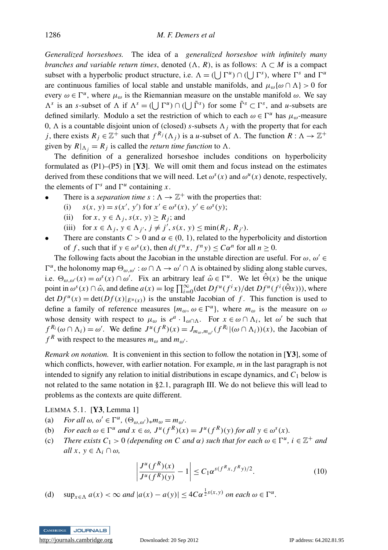*Generalized horseshoes.* The idea of a *generalized horseshoe with infinitely many branches and variable return times, denoted*  $(\Lambda, R)$ , is as follows:  $\Lambda \subset M$  is a compact subset with a hyperbolic product structure, i.e.  $\Lambda = (\bigcup \Gamma^u) \cap (\bigcup \Gamma^s)$ , where  $\Gamma^s$  and  $\Gamma^u$ are continuous families of local stable and unstable manifolds, and  $\mu_{\omega} {\alpha \cap \Lambda} > 0$  for every  $\omega \in \Gamma^u$ , where  $\mu_\omega$  is the Riemannian measure on the unstable manifold  $\omega$ . We say  $\Lambda^s$  is an *s*-subset of  $\Lambda$  if  $\Lambda^s = (\bigcup \Gamma^u) \cap (\bigcup \tilde{\Gamma}^s)$  for some  $\tilde{\Gamma}^s \subset \Gamma^s$ , and *u*-subsets are defined similarly. Modulo a set the restriction of which to each  $\omega \in \Gamma^u$  has  $\mu_\omega$ -measure 0,  $\Lambda$  is a countable disjoint union of (closed) *s*-subsets  $\Lambda$  *j* with the property that for each *j*, there exists  $R_j \in \mathbb{Z}^+$  such that  $f^{R_j}(\Lambda_j)$  is a *u*-subset of  $\Lambda$ . The function  $R : \Lambda \to \mathbb{Z}^+$ given by  $R|_{\Lambda_j} = R_j$  is called the *return time function* to  $\Lambda$ .

The definition of a generalized horseshoe includes conditions on hyperbolicity formulated as  $(P1)$ – $(P5)$  in [Y3]. We will omit them and focus instead on the estimates derived from these conditions that we will need. Let  $\omega^s(x)$  and  $\omega^u(x)$  denote, respectively, the elements of  $\Gamma^s$  and  $\Gamma^u$  containing *x*.

- There is a *separation time*  $s : \Lambda \to \mathbb{Z}^+$  with the properties that:
	- (i)  $s(x, y) = s(x', y')$  for  $x' \in \omega^s(x), y' \in \omega^s(y)$ ;
	- (ii) for *x*,  $y \in \Lambda_j$ ,  $s(x, y) \ge R_j$ ; and
	- (iii) for  $x \in \Lambda_j$ ,  $y \in \Lambda_{j'}$ ,  $j \neq j'$ ,  $s(x, y) \leq \min(R_j, R_{j'})$ .
- There are constants  $C > 0$  and  $\alpha \in (0, 1)$ , related to the hyperbolicity and distortion of *f*, such that if  $y \in \omega^s(x)$ , then  $d(f^n x, f^n y) \leq C\alpha^n$  for all  $n \geq 0$ .

The following facts about the Jacobian in the unstable direction are useful. For  $\omega$ ,  $\omega' \in$  $\Gamma^u$ , the holonomy map  $\Theta_{\omega,\omega'} : \omega \cap \Lambda \to \omega' \cap \Lambda$  is obtained by sliding along stable curves, i.e.  $\Theta_{\omega,\omega'}(x) = \omega^s(x) \cap \omega'$ . Fix an arbitrary leaf  $\hat{\omega} \in \Gamma^u$ . We let  $\hat{\Theta}(x)$  be the unique point in  $\omega^s(x) \cap \hat{\omega}$ , and define  $a(x) = \log \prod_{i=0}^{\infty} (\det Df^u(f^i x)/\det Df^u(f^i(\hat{\Theta}x)))$ , where det  $Df^{u}(x) = \det(Df(x)|_{E^{u}(x)})$  is the unstable Jacobian of f. This function is used to define a family of reference measures  $\{m_{\omega}, \omega \in \Gamma^u\}$ , where  $m_{\omega}$  is the measure on  $\omega$ whose density with respect to  $\mu_{\omega}$  is  $e^a \cdot 1_{\omega \cap \Lambda}$ . For  $x \in \omega \cap \Lambda_i$ , let  $\omega'$  be such that  $f^{R_i}(\omega \cap \Lambda_i) = \omega'$ . We define  $J^u(f^R)(x) = J_{m_\omega, m_{\omega'}}(f^{R_i} | (\omega \cap \Lambda_i))(x)$ , the Jacobian of *f*<sup>*R*</sup> with respect to the measures  $m_{\omega}$  and  $m_{\omega'}$ .

*Remark on notation.* It is convenient in this section to follow the notation in [Y3], some of which conflicts, however, with earlier notation. For example, *m* in the last paragraph is not intended to signify any relation to initial distributions in escape dynamics, and  $C_1$  below is not related to the same notation in §2.1, paragraph III. We do not believe this will lead to problems as the contexts are quite different.

LEMMA 5.1. [Y3, Lemma 1]

- (a) *For all*  $\omega, \omega' \in \Gamma^u$ ,  $(\Theta_{\omega, \omega'})_* m_\omega = m_{\omega'}.$
- (b) *For each*  $\omega \in \Gamma^u$  *and*  $x \in \omega$ ,  $J^u(f^R)(x) = J^u(f^R)(y)$  *for all*  $y \in \omega^s(x)$ *.*
- (c) *There exists*  $C_1 > 0$  (depending on C and  $\alpha$ ) such that for each  $\omega \in \Gamma^u$ ,  $i \in \mathbb{Z}^+$  and  $all x, y \in \Lambda_i \cap \omega$ ,

$$
\left| \frac{J^u(f^R)(x)}{J^u(f^R)(y)} - 1 \right| \le C_1 \alpha^{s(f^Rx, f^R y)/2}.
$$
 (10)

(d)  $\sup_{x \in \Lambda} a(x) < \infty$  *and*  $|a(x) - a(y)| \leq 4C\alpha^{\frac{1}{2}s(x,y)}$  *on each*  $\omega \in \Gamma^u$ .

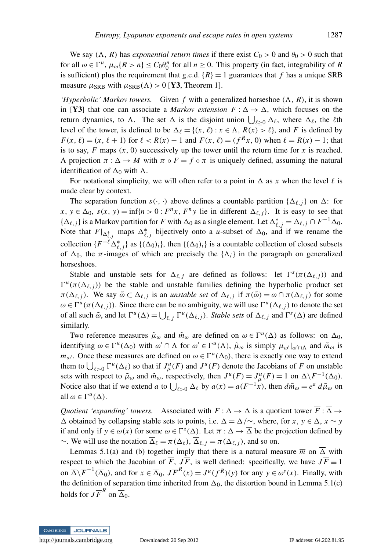We say  $(\Lambda, R)$  has *exponential return times* if there exist  $C_0 > 0$  and  $\theta_0 > 0$  such that for all  $\omega \in \Gamma^u$ ,  $\mu_\omega\{R > n\} \leq C_0 \theta_0^n$  for all  $n \geq 0$ . This property (in fact, integrability of *R* is sufficient) plus the requirement that g.c.d.  $\{R\} = 1$  guarantees that f has a unique SRB measure  $\mu_{\rm SRB}$  with  $\mu_{\rm SRB}(\Lambda) > 0$  [Y3, Theorem 1].

*'Hyperbolic' Markov towers.* Given f with a generalized horseshoe  $(A, R)$ , it is shown in [Y3] that one can associate a *Markov extension*  $F : \Delta \to \Delta$ , which focuses on the return dynamics, to  $\Lambda$ . The set  $\Delta$  is the disjoint union  $\bigcup_{\ell \geq 0} \Delta_{\ell}$ , where  $\Delta_{\ell}$ , the  $\ell$ th level of the tower, is defined to be  $\Delta_{\ell} = \{(x, \ell) : x \in \Lambda, R(x) > \ell\}$ , and *F* is defined by *F*(*x*,  $\ell$ ) = (*x*,  $\ell$  + 1) for  $\ell$  < *R*(*x*) − 1 and *F*(*x*,  $\ell$ ) = ( $f^Rx$ , 0) when  $\ell$  = *R*(*x*) − 1; that is to say,  $F$  maps  $(x, 0)$  successively up the tower until the return time for  $x$  is reached. A projection  $\pi : \Delta \to M$  with  $\pi \circ F = f \circ \pi$  is uniquely defined, assuming the natural identification of  $\Delta_0$  with  $\Lambda$ .

For notational simplicity, we will often refer to a point in  $\Delta$  as x when the level  $\ell$  is made clear by context.

The separation function  $s(\cdot, \cdot)$  above defines a countable partition  $\{\Delta_{\ell, i}\}\$  on  $\Delta$ : for  $x, y \in \Delta_0$ ,  $s(x, y) = \inf\{n > 0 : F^n x, F^n y \text{ lie in different } \Delta_{\ell, j}\}.$  It is easy to see that  ${\{\Delta_{\ell,j}\}}$  is a Markov partition for *F* with  $\Delta_0$  as a single element. Let  $\Delta_{\ell,j}^* = \Delta_{\ell,j} \cap F^{-1}\Delta_0$ . Note that  $F|_{\Delta_{\ell,j}^*}$  maps  $\Delta_{\ell,j}^*$  bijectively onto a *u*-subset of  $\Delta_0$ , and if we rename the collection  $\{F^{-\ell} \Delta_{\ell,j}^*\}$  as  $\{(\Delta_0)_i\}$ , then  $\{(\Delta_0)_i\}$  is a countable collection of closed subsets of  $\Delta_0$ , the  $\pi$ -images of which are precisely the  $\{\Lambda_i\}$  in the paragraph on generalized horseshoes.

Stable and unstable sets for  $\Delta_{\ell,j}$  are defined as follows: let  $\Gamma^s(\pi(\Delta_{\ell,j}))$  and  $\Gamma^u(\pi(\Delta_{\ell,j}))$  be the stable and unstable families defining the hyperbolic product set  $\pi(\Delta_{\ell,j})$ . We say  $\tilde{\omega} \subset \Delta_{\ell,j}$  is an *unstable set* of  $\Delta_{\ell,j}$  if  $\pi(\tilde{\omega}) = \omega \cap \pi(\Delta_{\ell,j})$  for some  $\omega \in \Gamma^u(\pi(\Delta_{\ell,j}))$ . Since there can be no ambiguity, we will use  $\Gamma^u(\Delta_{\ell,j})$  to denote the set of all such  $\tilde{\omega}$ , and let  $\Gamma^u(\Delta) = \bigcup_{\ell, j} \Gamma^u(\Delta_{\ell, j})$ . *Stable sets* of  $\Delta_{\ell, j}$  and  $\Gamma^s(\Delta)$  are defined similarly.

Two reference measures  $\tilde{\mu}_{\omega}$  and  $\tilde{m}_{\omega}$  are defined on  $\omega \in \Gamma^u(\Delta)$  as follows: on  $\Delta_0$ , identifying  $\omega \in \Gamma^u(\Delta_0)$  with  $\omega' \cap \Lambda$  for  $\omega' \in \Gamma^u(\Lambda)$ ,  $\tilde{\mu}_{\omega}$  is simply  $\mu_{\omega'}|_{\omega' \cap \Lambda}$  and  $\tilde{m}_{\omega}$  is  $m_{\omega'}$ . Once these measures are defined on  $\omega \in \Gamma^u(\Delta_0)$ , there is exactly one way to extend them to  $\bigcup_{\ell>0} \Gamma^u(\Delta_\ell)$  so that if  $J^u_\mu(F)$  and  $J^u(F)$  denote the Jacobians of *F* on unstable sets with respect to  $\tilde{\mu}_{\omega}$  and  $\tilde{m}_{\omega}$ , respectively, then  $J^{\mu}(F) = J^{\mu}_{\mu}(F) = 1$  on  $\Delta \backslash F^{-1}(\Delta_0)$ . Notice also that if we extend *a* to  $\bigcup_{\ell > 0} \Delta_{\ell}$  by  $a(x) = a(F^{-1}x)$ , then  $d\tilde{m}_{\omega} = e^a d\tilde{\mu}_{\omega}$  on all  $\omega \in \Gamma^u(\Delta)$ .

*Quotient 'expanding' towers.* Associated with  $F : \Delta \to \Delta$  is a quotient tower  $\overline{F} : \overline{\Delta} \to$  $\overline{\Delta}$  obtained by collapsing stable sets to points, i.e.  $\overline{\Delta} = \Delta/\sim$ , where, for *x*,  $y \in \Delta$ ,  $x \sim y$ if and only if  $y \in \omega(x)$  for some  $\omega \in \Gamma^s(\Delta)$ . Let  $\overline{\pi} : \Delta \to \overline{\Delta}$  be the projection defined by ∼. We will use the notation  $\overline{\Delta}_{\ell} = \overline{\pi} (\Delta_{\ell}), \overline{\Delta}_{\ell, j} = \overline{\pi} (\Delta_{\ell, j})$ , and so on.

Lemmas 5.1(a) and (b) together imply that there is a natural measure  $\overline{m}$  on  $\overline{\Delta}$  with respect to which the Jacobian of  $\overline{F}$ ,  $J\overline{F}$ , is well defined: specifically, we have  $J\overline{F} \equiv 1$ on  $\overline{\Delta}\backslash \overline{F}^{-1}(\overline{\Delta}_0)$ , and for  $x \in \overline{\Delta}_0$ ,  $J\overline{F}^R(x) = J^u(f^R)(y)$  for any  $y \in \omega^s(x)$ . Finally, with the definition of separation time inherited from  $\Delta_0$ , the distortion bound in Lemma 5.1(c) holds for  $J\overline{F}^R$  on  $\overline{\Delta}_0$ .

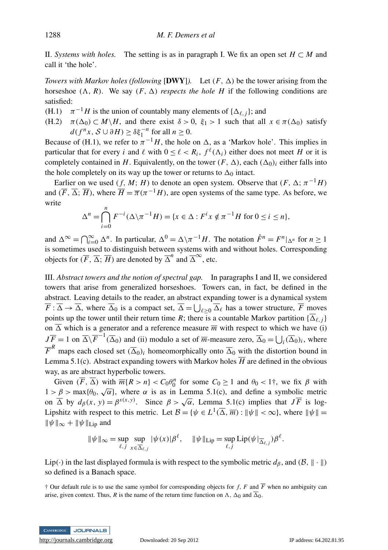II. *Systems with holes.* The setting is as in paragraph I. We fix an open set *H* ⊂ *M* and call it 'the hole'.

*Towers with Markov holes (following* [DWY]). Let  $(F, \Delta)$  be the tower arising from the horseshoe  $(\Lambda, R)$ . We say  $(F, \Delta)$  *respects the hole H* if the following conditions are satisfied:

(H.1)  $\pi^{-1}H$  is the union of countably many elements of { $\Delta_{\ell,j}$ }; and

(H.2)  $\pi(\Delta_0) \subset M \setminus H$ , and there exist  $\delta > 0$ ,  $\xi_1 > 1$  such that all  $x \in \pi(\Delta_0)$  satisfy  $d(f^n x, S \cup \partial H) \ge \delta \xi_1^{-n}$  for all  $n \ge 0$ .

Because of (H.1), we refer to  $\pi^{-1}H$ , the hole on  $\Delta$ , as a 'Markov hole'. This implies in particular that for every *i* and  $\ell$  with  $0 \leq \ell < R_i$ ,  $f^{\ell}(\Lambda_i)$  either does not meet *H* or it is completely contained in *H*. Equivalently, on the tower  $(F, \Delta)$ , each  $(\Delta_0)_i$  either falls into the hole completely on its way up the tower or returns to  $\Delta_0$  intact.

Earlier on we used  $(f, M; H)$  to denote an open system. Observe that  $(F, \Delta; \pi^{-1}H)$ and  $(\overline{F}, \overline{\Delta}; \overline{H})$ , where  $\overline{H} = \overline{\pi} (\pi^{-1} H)$ , are open systems of the same type. As before, we write

$$
\Delta^n = \bigcap_{i=0}^n F^{-i}(\Delta \setminus \pi^{-1}H) = \{x \in \Delta : F^i x \notin \pi^{-1}H \text{ for } 0 \le i \le n\},\
$$

and  $\Delta^{\infty} = \bigcap_{i=0}^{\infty} \Delta^n$ . In particular,  $\Delta^0 = \Delta \setminus \pi^{-1}H$ . The notation  $\mathring{F}^n = F^n|_{\Delta^n}$  for  $n \ge 1$ is sometimes used to distinguish between systems with and without holes. Corresponding objects for  $(\overline{F}, \overline{\Delta}; \overline{H})$  are denoted by  $\overline{\Delta}^n$  and  $\overline{\Delta}^{\infty}$ , etc.

III. *Abstract towers and the notion of spectral gap.* In paragraphs I and II, we considered towers that arise from generalized horseshoes. Towers can, in fact, be defined in the abstract. Leaving details to the reader, an abstract expanding tower is a dynamical system  $\overline{F}$ :  $\overline{\Delta} \to \overline{\Delta}$ , where  $\overline{\Delta}_0$  is a compact set,  $\overline{\Delta} = \bigcup_{\ell \geq 0} \overline{\Delta}_{\ell}$  has a tower structure,  $\overline{F}$  moves points up the tower until their return time *R*; there is a countable Markov partition  $\{\overline{\Delta}_{\ell,i}\}$ on  $\overline{\Delta}$  which is a generator and a reference measure  $\overline{m}$  with respect to which we have (i)  $J\overline{F} = 1$  on  $\overline{\Delta}\backslash \overline{F}^{-1}(\overline{\Delta}_0)$  and (ii) modulo a set of  $\overline{m}$ -measure zero,  $\overline{\Delta}_0 = \bigcup_i (\overline{\Delta}_0)_i$ , where  $\overline{F}^R$  maps each closed set  $(\overline{\Delta}_0)_i$  homeomorphically onto  $\overline{\Delta}_0$  with the distortion bound in Lemma 5.1(c). Abstract expanding towers with Markov holes  $\overline{H}$  are defined in the obvious way, as are abstract hyperbolic towers.

Given  $(\overline{F}, \overline{\Delta})$  with  $\overline{m}\{R > n\} < C_0 \theta_0^n$  for some  $C_0 \ge 1$  and  $\theta_0 < 1^+$ , we fix  $\beta$  with Urben  $(Y, \Delta)$  with  $m_1R > n_1 < v_0v_0$  for some  $v_0 \ge 1$  and  $v_0 < 1$ , we fix p with  $1 > \beta > \max{\lbrace \theta_0, \sqrt{\alpha} \rbrace}$ , where  $\alpha$  is as in Lemma 5.1(c), and define a symbolic metric on  $\overline{\Delta}$  by  $d_{\beta}(x, y) = \beta^{s(x,y)}$ . Since  $\beta > \sqrt{\alpha}$ , Lemma 5.1(c) implies that  $J\overline{F}$  is log-Lipshitz with respect to this metric. Let  $B = \{ \psi \in L^1(\overline{\Delta}, \overline{m}) : ||\psi|| < \infty \}$ , where  $||\psi|| =$  $\|\psi\|_{\infty} + \|\psi\|_{\text{Lip}}$  and

$$
\|\psi\|_{\infty} = \sup_{\ell, j} \sup_{x \in \overline{\Delta}_{\ell, j}} |\psi(x)| \beta^{\ell}, \quad \|\psi\|_{\text{Lip}} = \sup_{\ell, j} \text{Lip}(\psi|_{\overline{\Delta}_{\ell, j}}) \beta^{\ell}.
$$

Lip( $\cdot$ ) in the last displayed formula is with respect to the symbolic metric  $d_{\beta}$ , and  $(\beta, \|\cdot\|)$ so defined is a Banach space.

<sup> $\dagger$ </sup> Our default rule is to use the same symbol for corresponding objects for *f*, *F* and  $\overline{F}$  when no ambiguity can arise, given context. Thus, *R* is the name of the return time function on  $\Lambda$ ,  $\Delta_0$  and  $\overline{\Delta}_0$ .

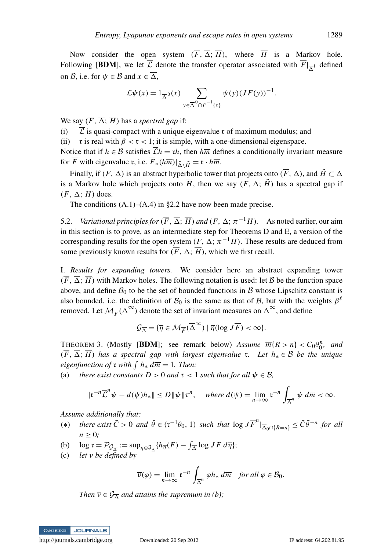Now consider the open system  $(\overline{F}, \overline{\Delta}; \overline{H})$ , where  $\overline{H}$  is a Markov hole. Following [**BDM**], we let  $\mathcal{L}$  denote the transfer operator associated with  $F|_{\overline{\Delta}^1}$  defined on B, i.e. for  $\psi \in \mathcal{B}$  and  $x \in \overline{\Delta}$ ,

$$
\overline{\mathcal{L}}\psi(x) = 1_{\overline{\Delta}^{0}}(x) \sum_{y \in \overline{\Delta}^{0} \cap \overline{F}^{-1}\{x\}} \psi(y) (J\overline{F}(y))^{-1}.
$$

We say  $(\overline{F}, \overline{\Delta}; \overline{H})$  has a *spectral gap* if:

(i)  $\bar{\mathcal{L}}$  is quasi-compact with a unique eigenvalue r of maximum modulus; and

(ii) r is real with  $\beta < r < 1$ ; it is simple, with a one-dimensional eigenspace.

Notice that if  $h \in \mathcal{B}$  satisfies  $\overline{\mathcal{L}}h = \tau h$ , then  $h\overline{m}$  defines a conditionally invariant measure for  $\overline{F}$  with eigenvalue  $\mathfrak{r}$ , i.e.  $\overline{F}_*(h\overline{m})|_{\overline{\Lambda}\setminus\overline{H}} = \mathfrak{r} \cdot h\overline{m}$ .

Finally, if  $(F, \Delta)$  is an abstract hyperbolic tower that projects onto  $(F, \overline{\Delta})$ , and  $\tilde{H} \subset \Delta$ is a Markov hole which projects onto  $\overline{H}$ , then we say  $(F, \Delta; \tilde{H})$  has a spectral gap if  $(\overline{F}, \overline{\Delta}; \overline{H})$  does.

The conditions  $(A.1)$ – $(A.4)$  in §2.2 have now been made precise.

5.2. *Variational principles for*  $(\overline{F}, \overline{\Delta}; \overline{H})$  *and*  $(F, \Delta; \pi^{-1}H)$ . As noted earlier, our aim in this section is to prove, as an intermediate step for Theorems D and E, a version of the corresponding results for the open system  $(F, \Delta; \pi^{-1}H)$ . These results are deduced from some previously known results for  $(\overline{F}, \overline{\Delta}; \overline{H})$ , which we first recall.

I. *Results for expanding towers.* We consider here an abstract expanding tower  $(\overline{F}, \overline{\Delta}; \overline{H})$  with Markov holes. The following notation is used: let B be the function space above, and define  $B_0$  to be the set of bounded functions in B whose Lipschitz constant is also bounded, i.e. the definition of  $\mathcal{B}_0$  is the same as that of  $\mathcal{B}$ , but with the weights  $\beta^{\ell}$ removed. Let  $\mathcal{M}_{\overline{F}}(\overline{\Delta}^{\infty})$  denote the set of invariant measures on  $\overline{\Delta}^{\infty}$ , and define

$$
\mathcal{G}_{\overline{\Delta}} = \{ \overline{\eta} \in \mathcal{M}_{\overline{F}}(\overline{\Delta}^{\infty}) \mid \overline{\eta}(\log J\overline{F}) < \infty \}.
$$

THEOREM 3. (Mostly [BDM]; see remark below) *Assume*  $\overline{m}\{R > n\} < C_0\theta_0^n$ , and  $\overline{m}\{R > n\}$  $(F, \overline{\Delta}; \overline{H})$  *has a spectral gap with largest eigenvalue* **r**. Let  $h_* \in \mathcal{B}$  *be the unique eigenfunction of*  $\mathfrak{r}$  *with*  $\int h_* d\overline{m} = 1$ *. Then:* 

(a) *there exist constants D > 0 and*  $\tau$  < 1 *such that for all*  $\psi \in \mathcal{B}$ ,

$$
\|\mathfrak{r}^{-n}\overline{\mathcal{L}}^n\psi-d(\psi)h_*\| \leq D\|\psi\|\mathfrak{r}^n, \quad \text{where } d(\psi)=\lim_{n\to\infty}\mathfrak{r}^{-n}\int_{\overline{\Delta}^n}\psi\ d\overline{m}<\infty.
$$

*Assume additionally that:*

- (\*) *there exist*  $\overline{C} > 0$  *and*  $\overline{\theta} \in (\mathfrak{r}^{-1}\theta_0, 1)$  *such that*  $\log J\overline{F}^n|_{\overline{\Delta}_0 \cap \{R = n\}} \leq \overline{C}\overline{\theta}^{-n}$  *for all*  $n \geq 0$ ;
- (b)  $\log \mathfrak{r} = \mathcal{P}_{\mathcal{G}_{\overline{\Delta}}} := \sup_{\overline{\eta} \in \mathcal{G}_{\overline{\Delta}}} \{ h_{\overline{\eta}}(\overline{F}) \int_{\overline{\Delta}} \log J \overline{F} d\overline{\eta} \};$
- (c) *let*  $\overline{v}$  *be defined by*

$$
\overline{\nu}(\varphi) = \lim_{n \to \infty} \mathfrak{r}^{-n} \int_{\overline{\Delta}^n} \varphi h_* d\overline{m} \quad \text{for all } \varphi \in \mathcal{B}_0.
$$

*Then*  $\overline{v} \in \mathcal{G}_{\overline{\Delta}}$  *and attains the supremum in (b);* 

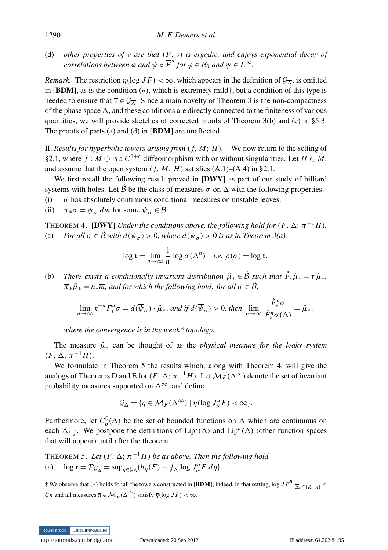(d) *other properties of*  $\overline{v}$  *are that*  $(\overline{F}, \overline{v})$  *is ergodic, and enjoys exponential decay of correlations between*  $\varphi$  *and*  $\psi \circ \overline{F}^n$  *for*  $\varphi \in \mathcal{B}_0$  *and*  $\psi \in L^\infty$ *.* 

*Remark.* The restriction  $\overline{\eta}(\log J\overline{F}) < \infty$ , which appears in the definition of  $\mathcal{G}_{\overline{\Delta}}$ , is omitted in [BDM], as is the condition (∗), which is extremely mild†, but a condition of this type is needed to ensure that  $\overline{v} \in \mathcal{G}_{\overline{\Delta}}$ . Since a main novelty of Theorem 3 is the non-compactness of the phase space  $\overline{\Delta}$ , and these conditions are directly connected to the finiteness of various quantities, we will provide sketches of corrected proofs of Theorem 3(b) and (c) in §5.3. The proofs of parts (a) and (d) in [BDM] are unaffected.

II. *Results for hyperbolic towers arising from*  $(f, M; H)$ . We now return to the setting of §2.1, where  $f : M \circlearrowleft$  is a  $C^{1+\epsilon}$  diffeomorphism with or without singularities. Let  $H \subset M$ , and assume that the open system  $(f, M; H)$  satisfies  $(A.1)$ – $(A.4)$  in §2.1.

We first recall the following result proved in  $[DWY]$  as part of our study of billiard systems with holes. Let B be the class of measures  $\sigma$  on  $\Delta$  with the following properties.

- (i)  $\sigma$  has absolutely continuous conditional measures on unstable leaves.
- (ii)  $\overline{\pi}_*\sigma = \overline{\psi}_\sigma \, d\overline{m}$  for some  $\overline{\psi}_\sigma \in \mathcal{B}$ .

THEOREM 4. [DWY] *Under the conditions above, the following hold for*  $(F, \Delta; \pi^{-1}H)$ . (a) *For all*  $\sigma \in \tilde{B}$  *with*  $d(\overline{\psi}_{\sigma}) > 0$ *, where*  $d(\overline{\psi}_{\sigma}) > 0$  *is as in Theorem 3(a),* 

$$
\log \mathfrak{r} = \lim_{n \to \infty} \frac{1}{n} \log \sigma(\Delta^n) \quad i.e. \ \rho(\sigma) = \log \mathfrak{r}.
$$

(b) *There exists a conditionally invariant distribution*  $\tilde{\mu}_* \in \tilde{B}$  *such that*  $\dot{F}_* \tilde{\mu}_* = \tilde{\mu}_*$ ,  $\overline{\pi}_{*}\tilde{\mu}_{*} = h_{*}\overline{m}$ , and for which the following hold: for all  $\sigma \in \tilde{B}$ ,

$$
\lim_{n \to \infty} \mathfrak{r}^{-n} \mathring{F}_*^n \sigma = d(\overline{\psi}_{\sigma}) \cdot \widetilde{\mu}_*, \text{ and if } d(\overline{\psi}_{\sigma}) > 0, \text{ then } \lim_{n \to \infty} \frac{\mathring{F}_*^n \sigma}{\mathring{F}_*^n \sigma(\Delta)} = \widetilde{\mu}_*,
$$

*where the convergence is in the weak\* topology.*

The measure  $\tilde{\mu}_*$  can be thought of as the *physical measure for the leaky system*  $(F, \Delta; \pi^{-1}H).$ 

We formulate in Theorem 5 the results which, along with Theorem 4, will give the analogs of Theorems D and E for  $(F, \Delta; \pi^{-1}H)$ . Let  $\mathcal{M}_F(\Delta^\infty)$  denote the set of invariant probability measures supported on  $\Delta^{\infty}$ , and define

$$
\mathcal{G}_{\Delta} = \{ \eta \in \mathcal{M}_F(\Delta^{\infty}) \mid \eta(\log J_{\mu}^u F) < \infty \}.
$$

Furthermore, let  $C_b^0(\Delta)$  be the set of bounded functions on  $\Delta$  which are continuous on each  $\Delta_{\ell,j}$ . We postpone the definitions of Lip<sup>s</sup>( $\Delta$ ) and Lip<sup>u</sup>( $\Delta$ ) (other function spaces that will appear) until after the theorem.

THEOREM 5. Let  $(F, \Delta; \pi^{-1}H)$  be as above. Then the following hold. (a)  $\log \mathfrak{r} = \mathcal{P}_{\mathcal{G}_{\Delta}} = \sup_{\eta \in \mathcal{G}_{\Delta}} \{ h_{\eta}(F) - \int_{\Delta} \log J_{\mu}^u F \, d\eta \}.$ 

 $\dagger$  We observe that (\*) holds for all the towers constructed in [BDM]; indeed, in that setting, log  $J\overline{F}^n|_{\overline{\Delta}_0 \cap \{R=n\}} \leq$ *Cn* and all measures  $\overline{\eta} \in \mathcal{M}_{\overline{F}}(\overline{\Delta}^{\infty})$  satisfy  $\overline{\eta}(\log J\overline{F}) < \infty$ .

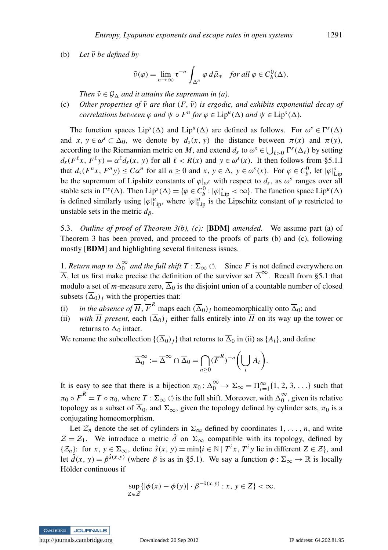(b) *Let*  $\tilde{v}$  *be defined by* 

$$
\tilde{\nu}(\varphi) = \lim_{n \to \infty} \mathfrak{r}^{-n} \int_{\Delta^n} \varphi \, d\tilde{\mu}_* \quad \text{for all } \varphi \in C_b^0(\Delta).
$$

*Then*  $\tilde{v} \in \mathcal{G}_{\Lambda}$  *and it attains the supremum in (a).* 

(c) Other properties of  $\tilde{v}$  are that  $(F, \tilde{v})$  is ergodic, and exhibits exponential decay of *correlations between*  $\varphi$  *and*  $\psi \circ F^n$  *for*  $\varphi \in \text{Lip}^u(\Delta)$  *and*  $\psi \in \text{Lip}^s(\Delta)$ *.* 

The function spaces  $Lip^{s}(\Delta)$  and  $Lip^{u}(\Delta)$  are defined as follows. For  $\omega^{s} \in \Gamma^{s}(\Delta)$ and  $x, y \in \omega^s \subset \Delta_0$ , we denote by  $d_s(x, y)$  the distance between  $\pi(x)$  and  $\pi(y)$ , according to the Riemannian metric on *M*, and extend  $d_s$  to  $\omega^s \in \bigcup_{\ell > 0} \Gamma^s(\Delta_\ell)$  by setting  $d_s(F^{\ell}x, F^{\ell}y) = \alpha^{\ell}d_s(x, y)$  for all  $\ell < R(x)$  and  $y \in \omega^s(x)$ . It then follows from §5.1.I that  $d_s(F^n x, F^n y) \leq C\alpha^n$  for all  $n \geq 0$  and  $x, y \in \Delta$ ,  $y \in \omega^s(x)$ . For  $\varphi \in C_b^0$ , let  $|\varphi|_{\text{Lip}}^s$ be the supremum of Lipshitz constants of  $\varphi|_{\omega^s}$  with respect to  $d_s$ , as  $\omega^s$  ranges over all stable sets in  $\Gamma^s(\Delta)$ . Then  $Lip^s(\Delta) = {\varphi \in C_b^0 : |\varphi|_{Lip}^s < \infty}$ . The function space  $Lip^u(\Delta)$ is defined similarly using  $|\varphi|_{\text{Lip}}^u$ , where  $|\varphi|_{\text{Lip}}^u$  is the Lipschitz constant of  $\varphi$  restricted to unstable sets in the metric  $d_{\beta}$ .

5.3. *Outline of proof of Theorem 3(b), (c):* [BDM] *amended.* We assume part (a) of Theorem 3 has been proved, and proceed to the proofs of parts (b) and (c), following mostly [BDM] and highlighting several finiteness issues.

1. *Return map to*  $\overline{\Delta}_0^{\infty}$  $\int_0^\infty$  *and the full shift T* :  $\Sigma_{\infty}$  ্. Since  $\overline{F}$  is not defined everywhere on  $\overline{\Delta}$ , let us first make precise the definition of the survivor set  $\overline{\Delta}^{\infty}$ . Recall from §5.1 that modulo a set of  $\overline{m}$ -measure zero,  $\overline{\Delta}_0$  is the disjoint union of a countable number of closed subsets  $(\overline{\Delta}_0)_j$  with the properties that:

- (i) *in the absence of*  $\overline{H}$ ,  $\overline{F}^R$  maps each  $(\overline{\Delta}_0)_j$  homeomorphically onto  $\overline{\Delta}_0$ ; and
- (ii) *with*  $\overline{H}$  present, each  $(\overline{\Delta}_0)_i$  either falls entirely into  $\overline{H}$  on its way up the tower or returns to  $\overline{\Delta}_0$  intact.

We rename the subcollection  $\{(\overline{\Delta}_0)_i\}$  that returns to  $\overline{\Delta}_0$  in (ii) as  $\{A_i\}$ , and define

$$
\overline{\Delta}_0^{\infty} := \overline{\Delta}^{\infty} \cap \overline{\Delta}_0 = \bigcap_{n \geq 0} (\overline{F}^R)^{-n} \left( \bigcup_i A_i \right).
$$

It is easy to see that there is a bijection  $\pi_0 : \overline{\Delta}_0^{\infty} \to \Sigma_{\infty} = \Pi_{i=1}^{\infty} \{1, 2, 3, \ldots\}$  such that  $\pi_0 \circ \overline{F}^R = T \circ \pi_0$ , where  $T : \Sigma_\infty \circlearrowleft$  is the full shift. Moreover, with  $\overline{\Delta}_0^\infty$  $\widetilde{0}$ , given its relative topology as a subset of  $\overline{\Delta}_0$ , and  $\Sigma_{\infty}$ , given the topology defined by cylinder sets,  $\pi_0$  is a conjugating homeomorphism.

Let  $\mathcal{Z}_n$  denote the set of cylinders in  $\Sigma_{\infty}$  defined by coordinates 1, ..., *n*, and write  $\mathcal{Z} = \mathcal{Z}_1$ . We introduce a metric  $\hat{d}$  on  $\Sigma_{\infty}$  compatible with its topology, defined by  $\{\mathcal{Z}_n\}$ : for  $x, y \in \Sigma_\infty$ , define  $\hat{s}(x, y) = \min\{i \in \mathbb{N} \mid T^i x, T^i y \text{ lie in different } Z \in \mathcal{Z}\}\)$ , and let  $\hat{d}(x, y) = \beta^{\hat{s}(x, y)}$  (where  $\beta$  is as in §5.1). We say a function  $\phi : \Sigma_{\infty} \to \mathbb{R}$  is locally Hölder continuous if

$$
\sup_{Z \in \mathcal{Z}} \{ |\phi(x) - \phi(y)| \cdot \beta^{-\hat{s}(x,y)} : x, y \in Z \} < \infty.
$$

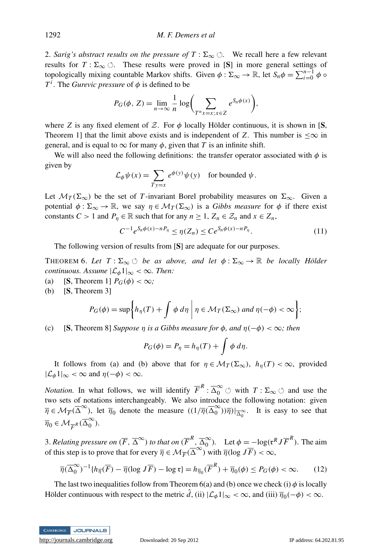2. *Sarig's abstract results on the pressure of*  $T : \Sigma_{\infty} \circlearrowleft$ . We recall here a few relevant results for  $T : \Sigma_{\infty} \circlearrowleft$ . These results were proved in [S] in more general settings of topologically mixing countable Markov shifts. Given  $\phi : \Sigma_{\infty} \to \mathbb{R}$ , let  $S_n \phi = \sum_{i=0}^{n-1} \phi \circ$  $T^i$ . The *Gurevic pressure* of  $\phi$  is defined to be

$$
P_G(\phi, Z) = \lim_{n \to \infty} \frac{1}{n} \log \left( \sum_{T^n x = x; x \in Z} e^{S_n \phi(x)} \right),
$$

where *Z* is any fixed element of *Z*. For  $\phi$  locally Hölder continuous, it is shown in [S, Theorem 1] that the limit above exists and is independent of *Z*. This number is  $\infty$  in general, and is equal to  $\infty$  for many  $\phi$ , given that *T* is an infinite shift.

We will also need the following definitions: the transfer operator associated with  $\phi$  is given by

$$
\mathcal{L}_{\phi}\psi(x) = \sum_{Ty=x} e^{\phi(y)}\psi(y) \text{ for bounded } \psi.
$$

Let  $\mathcal{M}_T(\Sigma_\infty)$  be the set of *T*-invariant Borel probability measures on  $\Sigma_\infty$ . Given a potential  $\phi : \Sigma_{\infty} \to \mathbb{R}$ , we say  $\eta \in \mathcal{M}_T(\Sigma_{\infty})$  is a *Gibbs measure* for  $\phi$  if there exist constants *C* > 1 and  $P_n \in \mathbb{R}$  such that for any  $n \ge 1$ ,  $Z_n \in \mathcal{Z}_n$  and  $x \in Z_n$ ,

$$
C^{-1}e^{S_n\phi(x)-nP_\eta} \le \eta(Z_n) \le Ce^{S_n\phi(x)-nP_\eta}.\tag{11}
$$

The following version of results from [S] are adequate for our purposes.

THEOREM 6. Let  $T : \Sigma_{\infty} \circlearrowleft$  *be as above, and let*  $\phi : \Sigma_{\infty} \to \mathbb{R}$  *be locally Hölder continuous. Assume*  $|\mathcal{L}_{\phi}1|_{\infty} < \infty$ *. Then:* 

- (a) **[S, Theorem 1]**  $P_G(\phi) < \infty$ **;**
- (b) [S, Theorem 3]

$$
P_G(\phi) = \sup \biggl\{ h_{\eta}(T) + \int \phi \, d\eta \, \bigg| \, \eta \in \mathcal{M}_T(\Sigma_{\infty}) \text{ and } \eta(-\phi) < \infty \biggr\};
$$

(c) **[S**, Theorem 8] *Suppose*  $\eta$  *is a Gibbs measure for*  $\phi$ *, and*  $\eta(-\phi) < \infty$ *; then* 

$$
P_G(\phi) = P_\eta = h_\eta(T) + \int \phi \, d\eta.
$$

It follows from (a) and (b) above that for  $\eta \in \mathcal{M}_T(\Sigma_\infty)$ ,  $h_\eta(T) < \infty$ , provided  $|\mathcal{L}_{\phi}1|_{\infty} < \infty$  and  $\eta(-\phi) < \infty$ .

*Notation.* In what follows, we will identify  $\overline{F}^R$  :  $\overline{\Delta}_0^{\infty}$   $\circlearrowleft$  with  $T$  :  $\Sigma_{\infty}$   $\circlearrowright$  and use the two sets of notations interchangeably. We also introduce the following notation: given  $\overline{\eta} \in \mathcal{M}_{\overline{F}}(\overline{\Delta}^{\infty})$ , let  $\overline{\eta}_0$  denote the measure  $((1/\overline{\eta}(\overline{\Delta}_0^{\infty}))$  $\binom{10}{0}$  $\frac{1}{0}$  $\binom{1}{0}$  $\frac{1}{0}$ . It is easy to see that  $\overline{\eta}_0 \in \mathcal{M}_{\overline{F}^R}(\overline{\Delta}_0^{\infty})$  $\int_{0}^{\infty}$ ).

3. Relating pressure on  $(\overline{F}, \overline{\Delta}^{\infty})$  to that on  $(\overline{F}^R, \overline{\Delta}_0^{\infty})$  $\int_0^\infty$ ). Let  $\phi = -\log(\mathfrak{r}^R J \overline{F}^R)$ . The aim of this step is to prove that for every  $\overline{\eta} \in \mathcal{M}_F(\overline{\Delta}^{\infty})$  with  $\overline{\eta}(\log JF) < \infty$ ,

$$
\overline{\eta}(\overline{\Delta}_0^{\infty})^{-1}\{h_{\overline{\eta}}(\overline{F}) - \overline{\eta}(\log J\overline{F}) - \log t\} = h_{\overline{\eta}_0}(\overline{F}^R) + \overline{\eta}_0(\phi) \le P_G(\phi) < \infty.
$$
 (12)

The last two inequalities follow from Theorem 6(a) and (b) once we check (i)  $\phi$  is locally Hölder continuous with respect to the metric  $\hat{d}$ , (ii)  $|\mathcal{L}_{\phi}1|_{\infty} < \infty$ , and (iii)  $\overline{\eta}_0(-\phi) < \infty$ .

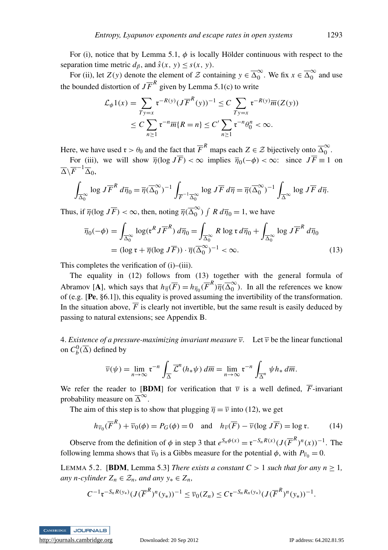For (i), notice that by Lemma 5.1,  $\phi$  is locally Hölder continuous with respect to the separation time metric  $d_{\beta}$ , and  $\hat{s}(x, y) \leq s(x, y)$ .

For (ii), let  $Z(y)$  denote the element of  $\mathcal Z$  containing  $y \in \overline{\Delta_0}^{\infty}$  $\int_0^\infty$ . We fix  $x \in \overline{\Delta}_0^\infty$  $\int_0^\infty$  and use the bounded distortion of  $J\overline{F}^R$  given by Lemma 5.1(c) to write

$$
\mathcal{L}_{\phi}1(x) = \sum_{Ty=x} \mathfrak{r}^{-R(y)} (J\overline{F}^{R}(y))^{-1} \le C \sum_{Ty=x} \mathfrak{r}^{-R(y)} \overline{m}(Z(y))
$$
  

$$
\le C \sum_{n\ge 1} \mathfrak{r}^{-n} \overline{m}\{R=n\} \le C' \sum_{n\ge 1} \mathfrak{r}^{-n} \theta_0^n < \infty.
$$

Here, we have used  $\mathfrak{r} > \theta_0$  and the fact that  $\overline{F}^R$  maps each  $Z \in \mathcal{Z}$  bijectively onto  $\overline{\Delta}_0^{\infty}$  $\overline{0}$ .

For (iii), we will show  $\overline{\eta}(\log J\overline{F}) < \infty$  implies  $\overline{\eta}_0(-\phi) < \infty$ : since  $J\overline{F} \equiv 1$  on  $\overline{\Delta }\backslash \overline{F}^{-1}\overline{\Delta }_{0},$ 

$$
\int_{\overline{\Delta}_0^{\infty}} \log J \overline{F}^R d\overline{\eta}_0 = \overline{\eta} (\overline{\Delta}_0^{\infty})^{-1} \int_{\overline{F}^{-1} \overline{\Delta}_0^{\infty}} \log J \overline{F} d\overline{\eta} = \overline{\eta} (\overline{\Delta}_0^{\infty})^{-1} \int_{\overline{\Delta}^{\infty}} \log J \overline{F} d\overline{\eta}.
$$

Thus, if  $\overline{\eta}(\log J\overline{F}) < \infty$ , then, noting  $\overline{\eta}(\overline{\Delta}_0^{\infty})$  $\binom{6}{0}$   $\int R d\overline{\eta}_0 = 1$ , we have

$$
\overline{\eta}_0(-\phi) = \int_{\overline{\Delta}_0^{\infty}} \log(\mathfrak{r}^R J \overline{F}^R) d\overline{\eta}_0 = \int_{\overline{\Delta}_0^{\infty}} R \log \mathfrak{r} d\overline{\eta}_0 + \int_{\overline{\Delta}_0^{\infty}} \log J \overline{F}^R d\overline{\eta}_0
$$
  
=  $(\log \mathfrak{r} + \overline{\eta} (\log J \overline{F})) \cdot \overline{\eta} (\overline{\Delta}_0^{\infty})^{-1} < \infty.$  (13)

This completes the verification of (i)–(iii).

The equality in (12) follows from (13) together with the general formula of Abramov [A], which says that  $h_{\overline{\eta}}(\overline{F}) = h_{\overline{\eta}_0}(\overline{F}^R) \overline{\eta}(\overline{\Delta}_0^{\infty})$  $\int_{0}^{\infty}$ ). In all the references we know of (e.g. [Pe, §6.1]), this equality is proved assuming the invertibility of the transformation. In the situation above,  $\overline{F}$  is clearly not invertible, but the same result is easily deduced by passing to natural extensions; see Appendix B.

4. *Existence of a pressure-maximizing invariant measure*  $\overline{v}$ . Let  $\overline{v}$  be the linear functional on  $C_b^0(\overline{\Delta})$  defined by

$$
\overline{\nu}(\psi) = \lim_{n \to \infty} \mathfrak{r}^{-n} \int_{\overline{\Delta}} \overline{\mathcal{L}}^n(h_*\psi) d\overline{m} = \lim_{n \to \infty} \mathfrak{r}^{-n} \int_{\overline{\Delta}^n} \psi h_* d\overline{m}.
$$

We refer the reader to [BDM] for verification that  $\overline{v}$  is a well defined,  $\overline{F}$ -invariant probability measure on  $\overline{\Delta}^{\infty}$ .

The aim of this step is to show that plugging  $\overline{\eta} = \overline{\nu}$  into (12), we get

$$
h_{\overline{v}_0}(\overline{F}^R) + \overline{v}_0(\phi) = P_G(\phi) = 0 \quad \text{and} \quad h_{\overline{v}}(\overline{F}) - \overline{v}(\log J\overline{F}) = \log \mathfrak{r}.\tag{14}
$$

Observe from the definition of  $\phi$  in step 3 that  $e^{S_n \phi(x)} = \mathfrak{r}^{-S_n R(x)} (J(\overline{F}^R)^n(x))^{-1}$ . The following lemma shows that  $\bar{v}_0$  is a Gibbs measure for the potential  $\phi$ , with  $P_{\bar{v}_0} = 0$ .

LEMMA 5.2. [BDM, Lemma 5.3] *There exists a constant C* > 1 *such that for any n*  $\geq$  1, *any n*-*cylinder*  $Z_n$  ∈  $Z_n$ *, and any*  $y_*$  ∈  $Z_n$ *,* 

$$
C^{-1} \mathfrak{r}^{-S_n R(y_*)} (J(\overline{F}^R)^n(y_*))^{-1} \leq \overline{\nu}_0(Z_n) \leq C \mathfrak{r}^{-S_n R_n(y_*)} (J(\overline{F}^R)^n(y_*))^{-1}.
$$

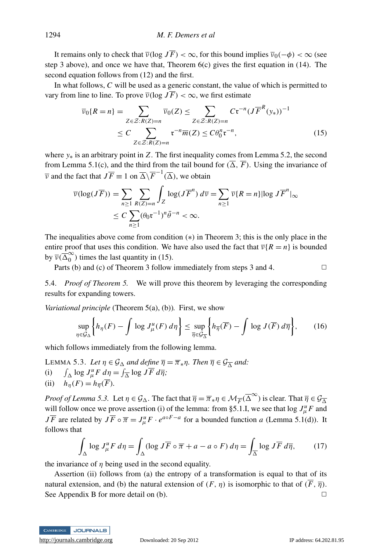It remains only to check that  $\overline{v}(\log J\overline{F}) < \infty$ , for this bound implies  $\overline{v}_0(-\phi) < \infty$  (see step 3 above), and once we have that, Theorem  $6(c)$  gives the first equation in (14). The second equation follows from (12) and the first.

In what follows, *C* will be used as a generic constant, the value of which is permitted to vary from line to line. To prove  $\overline{v}(\log J\overline{F}) < \infty$ , we first estimate

$$
\overline{\nu}_0\{R=n\} = \sum_{Z \in \mathcal{Z}:R(Z)=n} \overline{\nu}_0(Z) \le \sum_{Z \in \mathcal{Z}:R(Z)=n} C\tau^{-n} (J\overline{F}^R(y_*))^{-1}
$$
  

$$
\le C \sum_{Z \in \mathcal{Z}:R(Z)=n} \tau^{-n} \overline{m}(Z) \le C\theta_0^n \tau^{-n},
$$
 (15)

where *y*∗ is an arbitrary point in *Z*. The first inequality comes from Lemma 5.2, the second from Lemma 5.1(c), and the third from the tail bound for  $(\overline{\Delta}, \overline{F})$ . Using the invariance of  $\overline{\nu}$  and the fact that  $J\overline{F} \equiv 1$  on  $\overline{\Delta} \backslash \overline{F}^{-1}(\overline{\Delta})$ , we obtain

$$
\overline{\nu}(\log(J\overline{F})) = \sum_{n\geq 1} \sum_{R(Z)=n} \int_Z \log(J\overline{F}^n) d\overline{\nu} = \sum_{n\geq 1} \overline{\nu} \{R = n\} |\log J\overline{F}^n|_{\infty}
$$
  

$$
\leq C \sum_{n\geq 1} (\theta_0 \mathfrak{r}^{-1})^n \overline{\theta}^{-n} < \infty.
$$

The inequalities above come from condition (∗) in Theorem 3; this is the only place in the entire proof that uses this condition. We have also used the fact that  $\overline{v}{R = n}$  is bounded by  $\overline{v}(\overline{\Delta}^{\infty}_{0})$  $\binom{8}{0}$  times the last quantity in (15).

Parts (b) and (c) of Theorem 3 follow immediately from steps 3 and 4.  $\Box$ 

5.4. *Proof of Theorem 5.* We will prove this theorem by leveraging the corresponding results for expanding towers.

*Variational principle* (Theorem 5(a), (b))*.* First, we show

$$
\sup_{\eta \in \mathcal{G}_{\Delta}} \left\{ h_{\eta}(F) - \int \log J_{\mu}^{u}(F) \, d\eta \right\} \leq \sup_{\overline{\eta} \in \mathcal{G}_{\overline{\Delta}}} \left\{ h_{\overline{\eta}}(\overline{F}) - \int \log J(\overline{F}) \, d\overline{\eta} \right\},\tag{16}
$$

which follows immediately from the following lemma.

LEMMA 5.3. Let  $\eta \in \mathcal{G}_{\Delta}$  and define  $\overline{\eta} = \overline{\pi}_*\eta$ . Then  $\overline{\eta} \in \mathcal{G}_{\overline{\Delta}}$  and:

 $(i)$  $\int_{\Delta} \log J_{\mu}^u F d\eta = \int_{\overline{\Delta}} \log J \overline{F} d\overline{\eta};$ 

(ii) 
$$
h_{\eta}(F) = h_{\overline{\eta}}(\overline{F}).
$$

*Proof of Lemma 5.3.* Let  $\eta \in \mathcal{G}_{\Delta}$ . The fact that  $\overline{\eta} = \overline{\pi}_*\eta \in \mathcal{M}_{\overline{F}}(\overline{\Delta}^{\infty})$  is clear. That  $\overline{\eta} \in \mathcal{G}_{\overline{\Delta}}$ will follow once we prove assertion (i) of the lemma: from §5.1.I, we see that  $\log J^u_\mu F$  and *J*  $\overline{F}$  are related by  $J\overline{F} \circ \overline{\pi} = J^u_\mu F \cdot e^{a \circ F - a}$  for a bounded function *a* (Lemma 5.1(d)). It follows that

$$
\int_{\Delta} \log J_{\mu}^u F \, d\eta = \int_{\Delta} (\log J \overline{F} \circ \overline{\pi} + a - a \circ F) \, d\eta = \int_{\overline{\Delta}} \log J \overline{F} \, d\overline{\eta},\tag{17}
$$

the invariance of  $\eta$  being used in the second equality.

Assertion (ii) follows from (a) the entropy of a transformation is equal to that of its natural extension, and (b) the natural extension of  $(F, \eta)$  is isomorphic to that of  $(F, \overline{\eta})$ . See Appendix B for more detail on (b).  $\Box$ 

CAMBRIDGE JOURNALS

<http://journals.cambridge.org> Downloaded: 20 Sep 2012 IP address: 64.202.81.95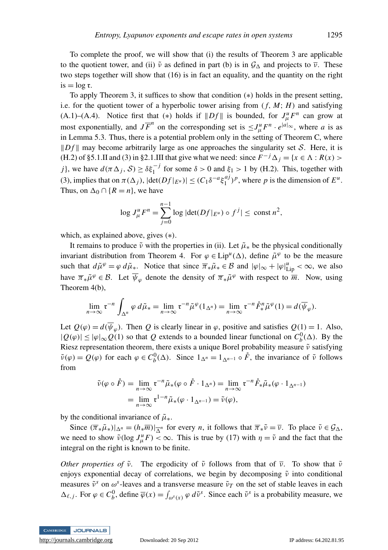To complete the proof, we will show that (i) the results of Theorem 3 are applicable to the quotient tower, and (ii)  $\tilde{v}$  as defined in part (b) is in  $\mathcal{G}_{\Lambda}$  and projects to  $\overline{v}$ . These two steps together will show that (16) is in fact an equality, and the quantity on the right  $is = log \tau$ .

To apply Theorem 3, it suffices to show that condition (∗) holds in the present setting, i.e. for the quotient tower of a hyperbolic tower arising from  $(f, M; H)$  and satisfying (A.1)–(A.4). Notice first that (\*) holds if  $||Df||$  is bounded, for  $J^u_\mu F^n$  can grow at most exponentially, and  $J\overline{F}^n$  on the corresponding set is  $\leq J^u_\mu F^n \cdot e^{|a|_\infty}$ , where *a* is as in Lemma 5.3. Thus, there is a potential problem only in the setting of Theorem C, where  $||Df||$  may become arbitrarily large as one approaches the singularity set S. Here, it is (H.2) of §5.1.II and (3) in §2.1.III that give what we need: since  $F^{-j} \Delta_j = \{x \in \Lambda : R(x) > 0\}$ *j*}, we have  $d(\pi \Delta_j, S) \ge \delta \xi_1^{-j}$  for some  $\delta > 0$  and  $\xi_1 > 1$  by (H.2). This, together with (3), implies that on  $\pi(\Delta_j)$ ,  $|\det(Df|_{E^u})| \leq (C_1 \delta^{-a} \xi_1^{a_j})$  $\binom{a_j}{1}$ <sup>*p*</sup>, where *p* is the dimension of  $E^u$ . Thus, on  $\Delta_0 \cap \{R = n\}$ , we have

$$
\log J^u_\mu F^n = \sum_{j=0}^{n-1} \log |\det(Df|_{E^u}) \circ f^j| \le \text{const } n^2,
$$

which, as explained above, gives (∗).

It remains to produce  $\tilde{\nu}$  with the properties in (ii). Let  $\tilde{\mu}_*$  be the physical conditionally invariant distribution from Theorem 4. For  $\varphi \in Lip^u(\Delta)$ , define  $\tilde{\mu}^{\varphi}$  to be the measure such that  $d\tilde{\mu}^{\varphi} = \varphi \, d\tilde{\mu}_*$ . Notice that since  $\overline{\pi}_*\tilde{\mu}_* \in \mathcal{B}$  and  $|\varphi|_{\infty} + |\varphi|_{\text{Lip}}^u < \infty$ , we also have  $\overline{\pi}_*\tilde{\mu}^{\varphi} \in \mathcal{B}$ . Let  $\overline{\psi}_{\varphi}$  denote the density of  $\overline{\pi}_*\tilde{\mu}^{\varphi}$  with respect to  $\overline{m}$ . Now, using Theorem 4(b),

$$
\lim_{n\to\infty} \mathfrak{r}^{-n} \int_{\Delta^n} \varphi \, d\tilde{\mu}_* = \lim_{n\to\infty} \mathfrak{r}^{-n} \tilde{\mu}^{\varphi}(1_{\Delta^n}) = \lim_{n\to\infty} \mathfrak{r}^{-n} \mathring{F}_*^n \tilde{\mu}^{\varphi}(1) = d(\overline{\psi}_{\varphi}).
$$

Let  $Q(\varphi) = d(\overline{\psi}_{\varphi})$ . Then *Q* is clearly linear in  $\varphi$ , positive and satisfies  $Q(1) = 1$ . Also,  $|Q(\varphi)|$  ≤  $|\varphi|_{\infty} Q(1)$  so that *Q* extends to a bounded linear functional on  $C_b^0(\Delta)$ . By the Riesz representation theorem, there exists a unique Borel probability measure  $\tilde{\nu}$  satisfying  $\tilde{\nu}(\varphi) = Q(\varphi)$  for each  $\varphi \in C_b^0(\Delta)$ . Since  $1_{\Delta^n} = 1_{\Delta^{n-1}} \circ \tilde{F}$ , the invariance of  $\tilde{\nu}$  follows from

$$
\tilde{\nu}(\varphi \circ \mathring{F}) = \lim_{n \to \infty} \mathfrak{r}^{-n} \tilde{\mu}_*(\varphi \circ \mathring{F} \cdot 1_{\Delta^n}) = \lim_{n \to \infty} \mathfrak{r}^{-n} \mathring{F}_* \tilde{\mu}_*(\varphi \cdot 1_{\Delta^{n-1}})
$$
  
= 
$$
\lim_{n \to \infty} \mathfrak{r}^{1-n} \tilde{\mu}_*(\varphi \cdot 1_{\Delta^{n-1}}) = \tilde{\nu}(\varphi),
$$

by the conditional invariance of  $\tilde{\mu}_*$ .

Since  $(\overline{\pi}_*\tilde{\mu}_*)|_{\Delta^n} = (h_*\overline{m})|_{\overline{\Delta}^n}$  for every *n*, it follows that  $\overline{\pi}_*\tilde{\nu} = \overline{\nu}$ . To place  $\tilde{\nu} \in \mathcal{G}_{\Delta}$ , we need to show  $\tilde{\nu}(\log J_{\mu}^u F) < \infty$ . This is true by (17) with  $\eta = \tilde{\nu}$  and the fact that the integral on the right is known to be finite.

*Other properties of*  $\tilde{\nu}$ . The ergodicity of  $\tilde{\nu}$  follows from that of  $\overline{\nu}$ . To show that  $\tilde{\nu}$ enjoys exponential decay of correlations, we begin by decomposing  $\tilde{\nu}$  into conditional measures  $\tilde{v}^s$  on  $\omega^s$ -leaves and a transverse measure  $\tilde{v}_T$  on the set of stable leaves in each  $\Delta_{\ell,j}$ . For  $\varphi \in C_b^0$ , define  $\overline{\varphi}(x) = \int_{\omega^s(x)} \varphi \, d\tilde{v}^s$ . Since each  $\tilde{v}^s$  is a probability measure, we

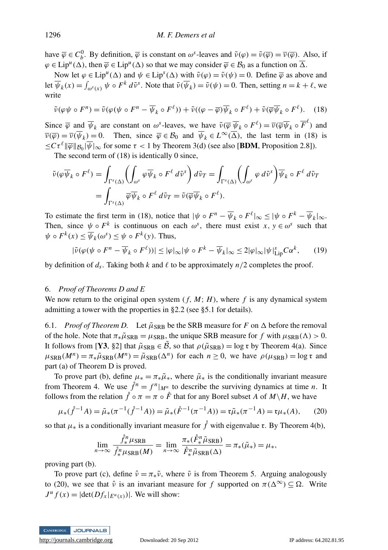have  $\overline{\varphi} \in C_b^0$ . By definition,  $\overline{\varphi}$  is constant on  $\omega^s$ -leaves and  $\tilde{\nu}(\varphi) = \tilde{\nu}(\overline{\varphi}) = \overline{\nu}(\overline{\varphi})$ . Also, if  $\varphi \in \text{Lip}^u(\Delta)$ , then  $\overline{\varphi} \in \text{Lip}^u(\Delta)$  so that we may consider  $\overline{\varphi} \in \mathcal{B}_0$  as a function on  $\overline{\Delta}$ .

Now let  $\varphi \in \text{Lip}^u(\Delta)$  and  $\psi \in \text{Lip}^s(\Delta)$  with  $\tilde{\nu}(\varphi) = \tilde{\nu}(\psi) = 0$ . Define  $\overline{\varphi}$  as above and let  $\overline{\psi}_k(x) = \int_{\omega^s(x)} \psi \circ F^k d\tilde{\nu}^s$ . Note that  $\tilde{\nu}(\overline{\psi}_k) = \tilde{\nu}(\psi) = 0$ . Then, setting  $n = k + \ell$ , we write

$$
\tilde{\nu}(\varphi\psi \circ F^n) = \tilde{\nu}(\varphi(\psi \circ F^n - \overline{\psi}_k \circ F^\ell)) + \tilde{\nu}((\varphi - \overline{\varphi})\overline{\psi}_k \circ F^\ell) + \tilde{\nu}(\overline{\varphi}\overline{\psi}_k \circ F^\ell). \tag{18}
$$

Since  $\overline{\varphi}$  and  $\overline{\psi}_k$  are constant on  $\omega^s$ -leaves, we have  $\tilde{\nu}(\overline{\varphi}\,\overline{\psi}_k \circ F^\ell) = \overline{\nu}(\overline{\varphi}\overline{\psi}_k \circ \overline{F}^\ell)$  and  $\overline{\nu}(\overline{\varphi}) = \overline{\nu}(\overline{\psi}_k) = 0$ . Then, since  $\overline{\varphi} \in \mathcal{B}_0$  and  $\overline{\psi}_k \in L^{\infty}(\overline{\Delta})$ , the last term in (18) is  $\leq C \tau^{\ell} ||\overline{\varphi}||_{\mathcal{B}_0} |\overline{\psi}|_{\infty}$  for some  $\tau < 1$  by Theorem 3(d) (see also [**BDM**, Proposition 2.8]).

The second term of (18) is identically 0 since,

$$
\tilde{\nu}(\varphi \overline{\psi}_k \circ F^\ell) = \int_{\Gamma^s(\Delta)} \left( \int_{\omega^s} \varphi \overline{\psi}_k \circ F^\ell \, d\tilde{\nu}^s \right) d\tilde{\nu}_T = \int_{\Gamma^s(\Delta)} \left( \int_{\omega^s} \varphi \, d\tilde{\nu}^s \right) \overline{\psi}_k \circ F^\ell \, d\tilde{\nu}_T
$$
\n
$$
= \int_{\Gamma^s(\Delta)} \overline{\varphi} \overline{\psi}_k \circ F^\ell \, d\tilde{\nu}_T = \tilde{\nu}(\overline{\varphi} \overline{\psi}_k \circ F^\ell).
$$

To estimate the first term in (18), notice that  $|\psi \circ F^n - \overline{\psi}_k \circ F^\ell|_{\infty} \leq |\psi \circ F^k - \overline{\psi}_k|_{\infty}$ . Then, since  $\psi \circ F^k$  is continuous on each  $\omega^s$ , there must exist  $x, y \in \omega^s$  such that  $\psi \circ F^k(x) \leq \overline{\psi}_k(\omega^s) \leq \psi \circ F^k(y)$ . Thus,

$$
|\tilde{\nu}(\varphi(\psi \circ F^n - \overline{\psi}_k \circ F^\ell))| \le |\varphi|_\infty |\psi \circ F^k - \overline{\psi}_k|_\infty \le 2|\varphi|_\infty |\psi|_{\text{Lip}}^s C \alpha^k,\tag{19}
$$

by definition of  $d_s$ . Taking both  $k$  and  $\ell$  to be approximately  $n/2$  completes the proof.

#### 6. *Proof of Theorems D and E*

We now return to the original open system  $(f, M; H)$ , where f is any dynamical system admitting a tower with the properties in §2.2 (see §5.1 for details).

6.1. *Proof of Theorem D.* Let  $\tilde{\mu}_{\rm SRB}$  be the SRB measure for *F* on  $\Delta$  before the removal of the hole. Note that  $\pi_*\tilde{\mu}_{\rm SRB} = \mu_{\rm SRB}$ , the unique SRB measure for f with  $\mu_{\rm SRB}(\Lambda) > 0$ . It follows from [Y3, §2] that  $\tilde{\mu}_{SRB} \in \tilde{\mathcal{B}}$ , so that  $\rho(\tilde{\mu}_{SRB}) = \log r$  by Theorem 4(a). Since  $\mu_{\text{SRB}}(M^n) = \pi_* \tilde{\mu}_{\text{SRB}}(M^n) = \tilde{\mu}_{\text{SRB}}(\Delta^n)$  for each  $n \ge 0$ , we have  $\rho(\mu_{\text{SRB}}) = \log \tau$  and part (a) of Theorem D is proved.

To prove part (b), define  $\mu_* = \pi_* \tilde{\mu}_*$ , where  $\tilde{\mu}_*$  is the conditionally invariant measure from Theorem 4. We use  $\hat{f}^n = f^n|_{M^n}$  to describe the surviving dynamics at time *n*. It follows from the relation  $\hat{f} \circ \pi = \pi \circ \hat{F}$  that for any Borel subset *A* of *M* \ *H*, we have

$$
\mu_*(\mathring{f}^{-1}A) = \tilde{\mu}_*(\pi^{-1}(\mathring{f}^{-1}A)) = \tilde{\mu}_*(\mathring{F}^{-1}(\pi^{-1}A)) = \mathfrak{r}\tilde{\mu}_*(\pi^{-1}A) = \mathfrak{r}\mu_*(A),\tag{20}
$$

so that  $\mu_*$  is a conditionally invariant measure for  $\mathring{f}$  with eigenvalue r. By Theorem 4(b),

$$
\lim_{n\to\infty}\frac{\int_{\tilde{\pi}}^n\mu_{\text{SRB}}}{\int_{\tilde{\pi}}^n\mu_{\text{SRB}}(M)} = \lim_{n\to\infty}\frac{\pi_*(\tilde{F}_*^n\tilde{\mu}_{\text{SRB}})}{\tilde{F}_*^n\tilde{\mu}_{\text{SRB}}(\Delta)} = \pi_*(\tilde{\mu}_*) = \mu_*,
$$

proving part (b).

To prove part (c), define  $\hat{v} = \pi_* \tilde{v}$ , where  $\tilde{v}$  is from Theorem 5. Arguing analogously to (20), we see that  $\hat{v}$  is an invariant measure for *f* supported on  $\pi(\Delta^{\infty}) \subseteq \Omega$ . Write  $J^{\mu} f(x) = |\det(Df_x|_{E^{\mu}(x)})|$ . We will show:

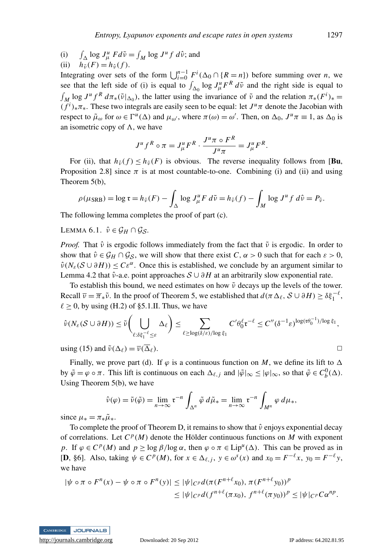$(i)$  $\int_{\Delta}$  log  $J^{\mu} f d\tilde{\nu} = \int_{M} \log J^{\mu} f d\hat{\nu}$ ; and

(ii)  $h_{\tilde{\nu}}(F) = h_{\hat{\nu}}(f)$ . Integrating over sets of the form  $\bigcup_{i=0}^{n-1} F^i(\Delta_0 \cap \{R = n\})$  before summing over *n*, we see that the left side of (i) is equal to  $\int_{\Delta_0} \log J_{\mu}^u F^R d\tilde{\nu}$  and the right side is equal to  $\int_M \log J^u f^R d\pi_*(\tilde{\nu}|_{\Delta_0})$ , the latter using the invariance of  $\tilde{\nu}$  and the relation  $\pi_*(F^i)_*$  $(f^{i})_{*}\pi_{*}$ . These two integrals are easily seen to be equal: let  $J^{u}\pi$  denote the Jacobian with respect to  $\tilde{\mu}_{\omega}$  for  $\omega \in \Gamma^u(\Delta)$  and  $\mu_{\omega'}$ , where  $\pi(\omega) = \omega'$ . Then, on  $\Delta_0$ ,  $J^u \pi \equiv 1$ , as  $\Delta_0$  is an isometric copy of  $\Lambda$ , we have

$$
J^u f^R \circ \pi = J^u_\mu F^R \cdot \frac{J^u \pi \circ F^R}{J^u \pi} = J^u_\mu F^R.
$$

For (ii), that  $h_{\hat{v}}(f) \leq h_{\tilde{v}}(F)$  is obvious. The reverse inequality follows from [**Bu**, Proposition 2.8] since  $\pi$  is at most countable-to-one. Combining (i) and (ii) and using Theorem 5(b),

$$
\rho(\mu_{\text{SRB}}) = \log \mathfrak{r} = h_{\tilde{\nu}}(F) - \int_{\Delta} \log J_{\mu}^{u} F d\tilde{\nu} = h_{\hat{\nu}}(f) - \int_{M} \log J^{u} f d\hat{\nu} = P_{\hat{\nu}}.
$$

The following lemma completes the proof of part (c).

LEMMA 6.1.  $\hat{\nu} \in \mathcal{G}_H \cap \mathcal{G}_S$ .

*Proof.* That  $\hat{v}$  is ergodic follows immediately from the fact that  $\tilde{v}$  is ergodic. In order to show that  $\hat{v} \in \mathcal{G}_H \cap \mathcal{G}_S$ , we will show that there exist  $C, \alpha > 0$  such that for each  $\varepsilon > 0$ ,  $\hat{\nu}(N_{\varepsilon}(\mathcal{S} \cup \partial H)) \leq C \varepsilon^{\alpha}$ . Once this is established, we conclude by an argument similar to Lemma 4.2 that  $\hat{v}$ -a.e. point approaches  $S \cup \partial H$  at an arbitrarily slow exponential rate.

To establish this bound, we need estimates on how  $\tilde{\nu}$  decays up the levels of the tower. Recall  $\overline{v} = \overline{\pi}_* \tilde{v}$ . In the proof of Theorem 5, we established that  $d(\pi \Delta_\ell, S \cup \partial H) \ge \delta \xi_1^{-\ell}$ ,  $\ell \geq 0$ , by using (H.2) of §5.1.II. Thus, we have

$$
\hat{\nu}(N_{\varepsilon}(\mathcal{S} \cup \partial H)) \leq \tilde{\nu} \bigg( \bigcup_{\ell : \delta \xi_1^{-\ell} \leq \varepsilon} \Delta_{\ell} \bigg) \leq \sum_{\ell \geq \log(\delta/\varepsilon)/\log \xi_1} C' \theta_0^{\ell} \tau^{-\ell} \leq C'' (\delta^{-1} \varepsilon)^{\log(\tau \theta_0^{-1})/\log \xi_1},
$$

using (15) and  $\tilde{\nu}(\Delta_{\ell}) = \overline{\nu}(\overline{\Delta}_{\ell}).$ 

Finally, we prove part (d). If  $\varphi$  is a continuous function on M, we define its lift to  $\Delta$ by  $\tilde{\varphi} = \varphi \circ \pi$ . This lift is continuous on each  $\Delta_{\ell,j}$  and  $|\tilde{\varphi}|_{\infty} \leq |\varphi|_{\infty}$ , so that  $\tilde{\varphi} \in C_b^0(\Delta)$ . Using Theorem 5(b), we have

$$
\hat{\nu}(\varphi) = \tilde{\nu}(\tilde{\varphi}) = \lim_{n \to \infty} \mathfrak{r}^{-n} \int_{\Delta^n} \tilde{\varphi} \, d\tilde{\mu}_* = \lim_{n \to \infty} \mathfrak{r}^{-n} \int_{M^n} \varphi \, d\mu_*,
$$

since  $\mu_* = \pi_* \tilde{\mu}_*.$ 

To complete the proof of Theorem D, it remains to show that  $\hat{v}$  enjoys exponential decay of correlations. Let  $C^p(M)$  denote the Hölder continuous functions on *M* with exponent *p*. If  $\varphi \in C^p(M)$  and  $p \ge \log \beta / \log \alpha$ , then  $\varphi \circ \pi \in Lip^u(\Delta)$ . This can be proved as in [D, §6]. Also, taking  $\psi \in C^p(M)$ , for  $x \in \Delta_{\ell,j}$ ,  $y \in \omega^s(x)$  and  $x_0 = F^{-\ell}x$ ,  $y_0 = F^{-\ell}y$ , we have

$$
|\psi \circ \pi \circ F^{n}(x) - \psi \circ \pi \circ F^{n}(y)| \leq |\psi|_{C^{p}} d(\pi(F^{n+\ell}x_{0}), \pi(F^{n+\ell}y_{0}))^{p}
$$
  

$$
\leq |\psi|_{C^{p}} d(f^{n+\ell}(\pi x_{0}), f^{n+\ell}(\pi y_{0}))^{p} \leq |\psi|_{C^{p}} C \alpha^{np}.
$$

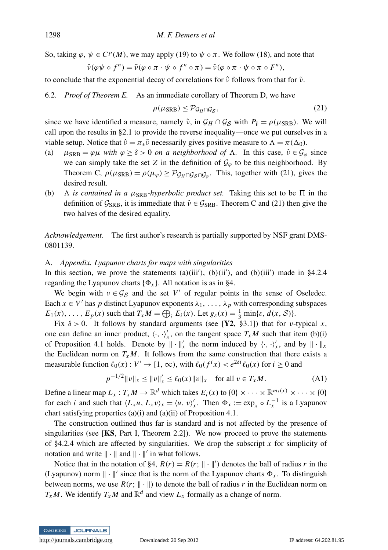So, taking  $\varphi, \psi \in C^p(M)$ , we may apply (19) to  $\psi \circ \pi$ . We follow (18), and note that

$$
\hat{\nu}(\varphi\psi \circ f^n) = \tilde{\nu}(\varphi \circ \pi \cdot \psi \circ f^n \circ \pi) = \tilde{\nu}(\varphi \circ \pi \cdot \psi \circ \pi \circ F^n),
$$

to conclude that the exponential decay of correlations for  $\hat{v}$  follows from that for  $\tilde{v}$ .

6.2. *Proof of Theorem E.* As an immediate corollary of Theorem D, we have

$$
\rho(\mu_{\text{SRB}}) \le \mathcal{P}_{\mathcal{G}_H \cap \mathcal{G}_S},\tag{21}
$$

since we have identified a measure, namely  $\hat{v}$ , in  $\mathcal{G}_H \cap \mathcal{G}_S$  with  $P_{\hat{v}} = \rho(\mu_{SRB})$ . We will call upon the results in §2.1 to provide the reverse inequality—once we put ourselves in a viable setup. Notice that  $\hat{v} = \pi_* \tilde{v}$  necessarily gives positive measure to  $\Lambda = \pi(\Delta_0)$ .

- (a)  $\mu_{\text{SRB}} = \varphi \mu$  *with*  $\varphi \ge \delta > 0$  *on a neighborhood of*  $\Lambda$ . In this case,  $\hat{v} \in \mathcal{G}_{\varphi}$  since we can simply take the set *Z* in the definition of  $\mathcal{G}_{\varphi}$  to be this neighborhood. By Theorem C,  $\rho(\mu_{SRB}) = \rho(\mu_{\varphi}) \geq \mathcal{P}_{\mathcal{G}_H \cap \mathcal{G}_S \cap \mathcal{G}_{\varphi}}$ . This, together with (21), gives the desired result.
- (b)  $\Lambda$  *is contained in a*  $\mu_{\text{SRB}}$ *-hyperbolic product set.* Taking this set to be  $\Pi$  in the definition of  $\mathcal{G}_{\text{SRB}}$ , it is immediate that  $\hat{v} \in \mathcal{G}_{\text{SRB}}$ . Theorem C and (21) then give the two halves of the desired equality.

*Acknowledgement.* The first author's research is partially supported by NSF grant DMS-0801139.

#### A. *Appendix. Lyapunov charts for maps with singularities*

In this section, we prove the statements (a)(iii'), (b)(ii'), and (b)(iii') made in §4.2.4 regarding the Lyapunov charts  $\{\Phi_x\}$ . All notation is as in §4.

We begin with  $v \in \mathcal{G}_{\mathcal{S}}$  and the set *V'* of regular points in the sense of Oseledec. Each  $x \in V'$  has p distinct Lyapunov exponents  $\lambda_1, \ldots, \lambda_p$  with corresponding subspaces  $E_1(x), \ldots, E_p(x)$  such that  $T_x M = \bigoplus_i E_i(x)$ . Let  $g_{\varepsilon}(x) = \frac{1}{3} \min\{\varepsilon, d(x, \mathcal{S})\}.$ 

Fix  $\delta > 0$ . It follows by standard arguments (see [Y2, §3.1]) that for *v*-typical *x*, one can define an inner product,  $\langle \cdot, \cdot \rangle'_x$ , on the tangent space  $T_xM$  such that item (b)(i) of Proposition 4.1 holds. Denote by  $\|\cdot\|_x^{\prime}$  the norm induced by  $\langle \cdot, \cdot \rangle_x^{\prime}$ , and by  $\|\cdot\|_x$ the Euclidean norm on  $T_xM$ . It follows from the same construction that there exists a measurable function  $\ell_0(x) : V' \to [1, \infty)$ , with  $\ell_0(f^i x) < e^{2\delta i} \ell_0(x)$  for  $i \ge 0$  and

$$
p^{-1/2} \|v\|_{x} \le \|v\|_{x}' \le \ell_0(x) \|v\|_{x} \quad \text{for all } v \in T_x M. \tag{A1}
$$

Define a linear map  $L_x: T_xM \to \mathbb{R}^d$  which takes  $E_i(x)$  to  $\{0\} \times \cdots \times \mathbb{R}^{m_i(x)} \times \cdots \times \{0\}$ for each *i* and such that  $\langle L_x u, L_x v \rangle_x = \langle u, v \rangle_x'$ . Then  $\Phi_x := \exp_x \circ L_x^{-1}$  is a Lyapunov chart satisfying properties (a)(i) and (a)(ii) of Proposition 4.1.

The construction outlined thus far is standard and is not affected by the presence of singularities (see  $[KS, Part I, Theorem 2.2]$ ). We now proceed to prove the statements of §4.2.4 which are affected by singularities. We drop the subscript  $x$  for simplicity of notation and write  $\|\cdot\|$  and  $\|\cdot\|'$  in what follows.

Notice that in the notation of §4,  $R(r) = R(r; \| \cdot \|')$  denotes the ball of radius *r* in the (Lyapunov) norm  $\|\cdot\|'$  since that is the norm of the Lyapunov charts  $\Phi_x$ . To distinguish between norms, we use  $R(r; \| \cdot \|)$  to denote the ball of radius r in the Euclidean norm on *T*<sub>*x*</sub> *M*. We identify *T*<sub>*x*</sub> *M* and  $\mathbb{R}^d$  and view  $L_x$  formally as a change of norm.

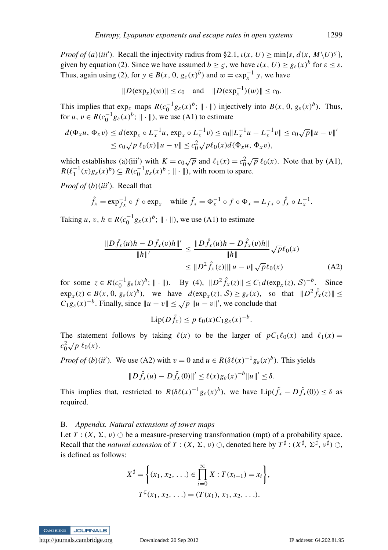*Proof of* (*a*)(*iii*<sup>'</sup>). Recall the injectivity radius from §2.1,  $\iota(x, U) \ge \min\{s, d(x, M \setminus U)^5\}$ , given by equation (2). Since we have assumed  $b \geq \varsigma$ , we have  $\iota(x, U) \geq g_{\varepsilon}(x)^{b}$  for  $\varepsilon \leq s$ . Thus, again using (2), for  $y \in B(x, 0, g_{\varepsilon}(x)^b)$  and  $w = \exp_x^{-1} y$ , we have

$$
||D(\exp_x)(w)|| \leq c_0
$$
 and  $||D(\exp_x^{-1})(w)|| \leq c_0$ .

This implies that  $\exp_x$  maps  $R(c_0^{-1}g_{\varepsilon}(x)^b; \| \cdot \|)$  injectively into  $B(x, 0, g_{\varepsilon}(x)^b)$ . Thus, for  $u, v \in R(c_0^{-1}g_{\varepsilon}(x)^b; \|\cdot\|)$ , we use (A1) to estimate

$$
d(\Phi_x u, \Phi_x v) \le d(\exp_x \circ L_x^{-1} u, \exp_x \circ L_x^{-1} v) \le c_0 \|L_x^{-1} u - L_x^{-1} v\| \le c_0 \sqrt{p} \|u - v\|'
$$
  
 
$$
\le c_0 \sqrt{p} \ell_0(x) \|u - v\| \le c_0^2 \sqrt{p} \ell_0(x) d(\Phi_x u, \Phi_x v),
$$

which establishes (a)(iii') with  $K = c_0 \sqrt{p}$  and  $\ell_1(x) = c_0^2 \sqrt{p} \ell_0(x)$ . Note that by (A1),  $R(\ell_1^{-1}(x)g_{\varepsilon}(x))^b \subseteq R(c_0^{-1}g_{\varepsilon}(x))^b$ ;  $\|\cdot\|$ ), with room to spare.

*Proof of (b)(iii')*. Recall that

$$
\hat{f}_x = \exp_{f_x}^{-1} \circ f \circ \exp_x \quad \text{while } \tilde{f}_x = \Phi_x^{-1} \circ f \circ \Phi_x = L_{fx} \circ \hat{f}_x \circ L_x^{-1}.
$$

Taking *u*,  $v, h \in R(c_0^{-1}g_{\varepsilon}(x))^b$ ;  $\|\cdot\|$ , we use (A1) to estimate

$$
\frac{\|D\tilde{f}_x(u)h - D\tilde{f}_x(v)h\|'}{\|h\|'} \le \frac{\|D\hat{f}_x(u)h - D\hat{f}_x(v)h\|}{\|h\|} \sqrt{p}\ell_0(x)
$$
  

$$
\le \|D^2\hat{f}_x(z)\| \|u - v\| \sqrt{p}\ell_0(x)
$$
 (A2)

for some  $z \in R(c_0^{-1}g_{\varepsilon}(x)^b; \| \cdot \|)$ . By (4),  $\|D^2 \hat{f}_x(z)\| \le C_1 d(\exp_x(z), S)^{-b}$ . Since  $\exp_x(z) \in B(x, 0, g_{\varepsilon}(x)^b)$ , we have  $d(\exp_x(z), S) \ge g_{\varepsilon}(x)$ , so that  $||D^2 \hat{f}_x(z)|| \le$  $C_1 g_{\varepsilon}(x) - b$ . Finally, since  $||u - v|| \le \sqrt{p} ||u - v||'$ , we conclude that

$$
\mathrm{Lip}(D\tilde{f}_x) \le p \,\ell_0(x) C_1 g_{\varepsilon}(x)^{-b}.
$$

The statement follows by taking  $\ell(x)$  to be the larger of  $pC_1\ell_0(x)$  and  $\ell_1(x) =$  $c_0^2 \sqrt{p} \ell_0(x)$ .

*Proof of* (*b*)(*ii*'). We use (A2) with  $v = 0$  and  $u \in R(\delta\ell(x)^{-1}g_{\epsilon}(x)^{b})$ . This yields

$$
||D\tilde{f}_x(u)-D\tilde{f}_x(0)||' \leq \ell(x)g_{\varepsilon}(x)^{-b}||u||' \leq \delta.
$$

This implies that, restricted to  $R(\delta \ell(x)^{-1} g_{\varepsilon}(x)^b)$ , we have  $Lip(\tilde{f}_x - D\tilde{f}_x(0)) \leq \delta$  as required.

### B. *Appendix. Natural extensions of tower maps*

Let  $T: (X, \Sigma, \nu) \circlearrowleft$  be a measure-preserving transformation (mpt) of a probability space. Recall that the *natural extension* of  $T : (X, \Sigma, \nu) \circlearrowleft$ , denoted here by  $T^{\sharp} : (X^{\sharp}, \Sigma^{\sharp}, \nu^{\sharp}) \circlearrowleft$ , is defined as follows:

$$
X^{\sharp} = \left\{ (x_1, x_2, \ldots) \in \prod_{i=0}^{\infty} X : T(x_{i+1}) = x_i \right\},
$$
  

$$
T^{\sharp}(x_1, x_2, \ldots) = (T(x_1), x_1, x_2, \ldots).
$$



<http://journals.cambridge.org> Downloaded: 20 Sep 2012 IP address: 64.202.81.95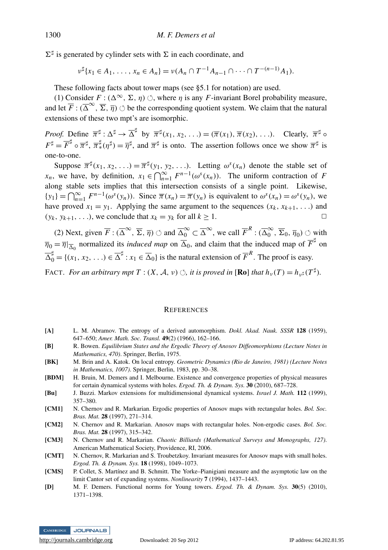$\Sigma^{\sharp}$  is generated by cylinder sets with  $\Sigma$  in each coordinate, and

$$
\nu^{\sharp}\{x_1 \in A_1, \ldots, x_n \in A_n\} = \nu(A_n \cap T^{-1}A_{n-1} \cap \cdots \cap T^{-(n-1)}A_1).
$$

These following facts about tower maps (see §5.1 for notation) are used.

(1) Consider  $F : (\Delta^{\infty}, \Sigma, \eta) \circlearrowleft$ , where  $\eta$  is any *F*-invariant Borel probability measure, and let  $\overline{F}$  :  $(\overline{\Delta}^{\infty}, \overline{\Sigma}, \overline{\eta})$   $\circ$  be the corresponding quotient system. We claim that the natural extensions of these two mpt's are isomorphic.

*Proof.* Define  $\overline{\pi}^{\sharp}: \Delta^{\sharp} \to \overline{\Delta}^{\sharp}$  by  $\overline{\pi}^{\sharp}(x_1, x_2, \ldots) = (\overline{\pi}(x_1), \overline{\pi}(x_2), \ldots)$ . Clearly,  $\overline{\pi}^{\sharp} \circ$  $F^{\sharp} = \overline{F}^{\sharp} \circ \overline{\pi}^{\sharp}, \overline{\pi}^{\sharp}(\eta^{\sharp}) = \overline{\eta}^{\sharp},$  and  $\overline{\pi}^{\sharp}$  is onto. The assertion follows once we show  $\overline{\pi}^{\sharp}$  is one-to-one.

Suppose  $\overline{\pi}^{\sharp}(x_1, x_2, \ldots) = \overline{\pi}^{\sharp}(y_1, y_2, \ldots)$ . Letting  $\omega^s(x_n)$  denote the stable set of *x<sub>n</sub>*, we have, by definition,  $x_1 \in \bigcap_{n=1}^{\infty} F^{n-1}(\omega^s(x_n))$ . The uniform contraction of *F* along stable sets implies that this intersection consists of a single point. Likewise,  $\{y_1\} = \bigcap_{n=1}^{\infty} F^{n-1}(\omega^s(y_n))$ . Since  $\overline{\pi}(x_n) = \overline{\pi}(y_n)$  is equivalent to  $\omega^s(x_n) = \omega^s(y_n)$ , we have proved  $x_1 = y_1$ . Applying the same argument to the sequences  $(x_k, x_{k+1}, ...)$  and  $(y_k, y_{k+1}, \ldots)$ , we conclude that  $x_k = y_k$  for all  $k \geq 1$ .

(2) Next, given  $\overline{F}$  :  $(\overline{\Delta}^{\infty}, \overline{\Sigma}, \overline{\eta})$   $\circlearrowleft$  and  $\overline{\Delta}_0^{\infty} \subset \overline{\Delta}^{\infty}$ , we call  $\overline{F}^R$  :  $(\overline{\Delta}_0^{\infty}$  $_{0}^{\infty}$ ,  $\overline{\Sigma}_{0}$ ,  $\overline{\eta}_{0}$ )  $\circlearrowleft$  with  $\overline{\eta}_0 = \overline{\eta}|_{\overline{\Delta}_0}$  normalized its *induced map* on  $\overline{\Delta}_0$ , and claim that the induced map of  $\overline{F}^{\sharp}$  on  $\overline{\Delta}_0^{\sharp} = \{(x_1, x_2, \ldots) \in \overline{\Delta}^{\sharp} : x_1 \in \overline{\Delta}_0\}$  is the natural extension of  $\overline{F}^R$ . The proof is easy.

FACT. *For an arbitrary mpt*  $T : (X, \mathcal{A}, \nu) \circlearrowleft$ *, it is proved in* [**Ro**] *that*  $h_{\nu}(T) = h_{\nu^{\sharp}}(T^{\sharp})$ *.* 

#### **REFERENCES**

- [A] L. M. Abramov. The entropy of a derived automorphism. *Dokl. Akad. Nauk. SSSR* 128 (1959), 647–650; *Amer. Math. Soc. Transl.* 49(2) (1966), 162–166.
- [B] R. Bowen. *Equilibrium States and the Ergodic Theory of Anosov Diffeomorphisms (Lecture Notes in Mathematics, 470)*. Springer, Berlin, 1975.
- [BK] M. Brin and A. Katok. On local entropy. *Geometric Dynamics (Rio de Janeiro, 1981) (Lecture Notes in Mathematics, 1007)*. Springer, Berlin, 1983, pp. 30–38.
- [BDM] H. Bruin, M. Demers and I. Melbourne. Existence and convergence properties of physical measures for certain dynamical systems with holes. *Ergod. Th. & Dynam. Sys.* 30 (2010), 687–728.
- [Bu] J. Buzzi. Markov extensions for multidimensional dynamical systems. *Israel J. Math.* 112 (1999), 357–380.
- [CM1] N. Chernov and R. Markarian. Ergodic properties of Anosov maps with rectangular holes. *Bol. Soc. Bras. Mat.* 28 (1997), 271–314.
- [CM2] N. Chernov and R. Markarian. Anosov maps with rectangular holes. Non-ergodic cases. *Bol. Soc. Bras. Mat.* 28 (1997), 315–342.
- [CM3] N. Chernov and R. Markarian. *Chaotic Billiards (Mathematical Surveys and Monographs, 127)*. American Mathematical Society, Providence, RI, 2006.
- [CMT] N. Chernov, R. Markarian and S. Troubetzkoy. Invariant measures for Anosov maps with small holes. *Ergod. Th. & Dynam. Sys.* 18 (1998), 1049–1073.
- [CMS] P. Collet, S. Martínez and B. Schmitt. The Yorke–Pianigiani measure and the asymptotic law on the limit Cantor set of expanding systems. *Nonlinearity* 7 (1994), 1437–1443.
- [D] M. F. Demers. Functional norms for Young towers. *Ergod. Th. & Dynam. Sys.* 30(5) (2010), 1371–1398.